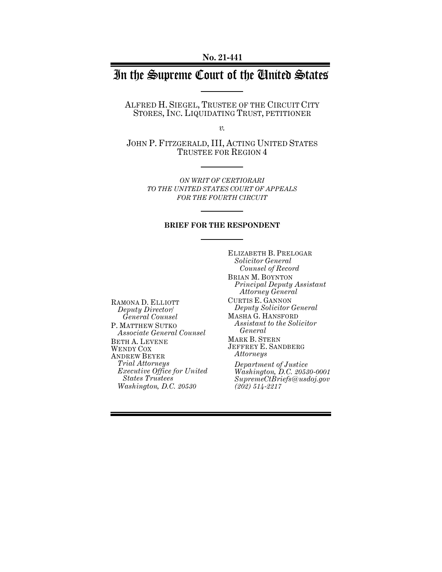# In the Supreme Court of the United States

ALFRED H. SIEGEL, TRUSTEE OF THE CIRCUIT CITY STORES, INC. LIQUIDATING TRUST, PETITIONER

*v.*

JOHN P. FITZGERALD, III, ACTING UNITED STATES TRUSTEE FOR REGION 4

> *ON WRIT OF CERTIORARI TO THE UNITED STATES COURT OF APPEALS FOR THE FOURTH CIRCUIT*

#### **BRIEF FOR THE RESPONDENT**

RAMONA D. ELLIOTT *Deputy Director/ General Counsel* P. MATTHEW SUTKO *Associate General Counsel* BETH A. LEVENE WENDY COX ANDREW BEYER *Trial Attorneys Executive Office for United States Trustees Washington, D.C. 20530*

ELIZABETH B. PRELOGAR *Solicitor General Counsel of Record* BRIAN M. BOYNTON *Principal Deputy Assistant Attorney General* CURTIS E. GANNON *Deputy Solicitor General* MASHA G. HANSFORD *Assistant to the Solicitor General*  MARK B. STERN JEFFREY E. SANDBERG *Attorneys*

*Department of Justice Washington, D.C. 20530-0001 SupremeCtBriefs@usdoj.gov (202) 514-2217*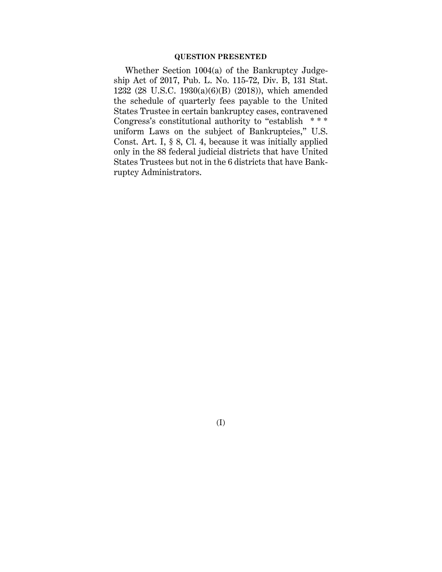### **QUESTION PRESENTED**

Whether Section 1004(a) of the Bankruptcy Judgeship Act of 2017, Pub. L. No. 115-72, Div. B, 131 Stat. 1232 (28 U.S.C. 1930(a)(6)(B) (2018)), which amended the schedule of quarterly fees payable to the United States Trustee in certain bankruptcy cases, contravened Congress's constitutional authority to "establish  $***$ uniform Laws on the subject of Bankruptcies," U.S. Const. Art. I, § 8, Cl. 4, because it was initially applied only in the 88 federal judicial districts that have United States Trustees but not in the 6 districts that have Bankruptcy Administrators.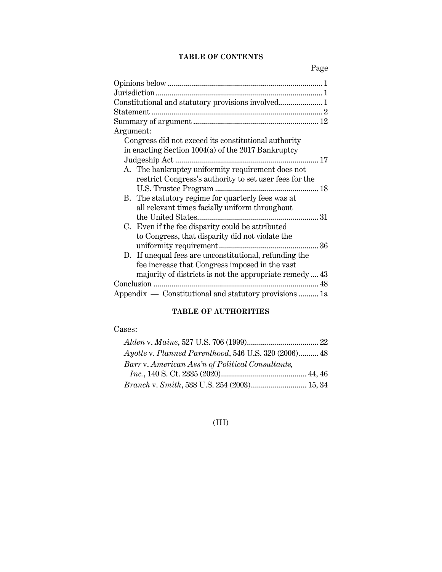# **TABLE OF CONTENTS**

Page

| Constitutional and statutory provisions involved 1      |
|---------------------------------------------------------|
|                                                         |
|                                                         |
| Argument:                                               |
| Congress did not exceed its constitutional authority    |
| in enacting Section 1004(a) of the 2017 Bankruptcy      |
|                                                         |
| A. The bankruptcy uniformity requirement does not       |
| restrict Congress's authority to set user fees for the  |
|                                                         |
| B. The statutory regime for quarterly fees was at       |
| all relevant times facially uniform throughout          |
| 31                                                      |
| C. Even if the fee disparity could be attributed        |
| to Congress, that disparity did not violate the         |
| 36                                                      |
| D. If unequal fees are unconstitutional, refunding the  |
| fee increase that Congress imposed in the vast          |
| majority of districts is not the appropriate remedy  43 |
|                                                         |
| Appendix — Constitutional and statutory provisions  1a  |

# **TABLE OF AUTHORITIES**

# Cases:

| Ayotte v. Planned Parenthood, 546 U.S. 320 (2006) 48 |  |
|------------------------------------------------------|--|
| Barry. American Ass'n of Political Consultants,      |  |
|                                                      |  |
| Branch v. Smith, 538 U.S. 254 (2003) 15, 34          |  |

# (III)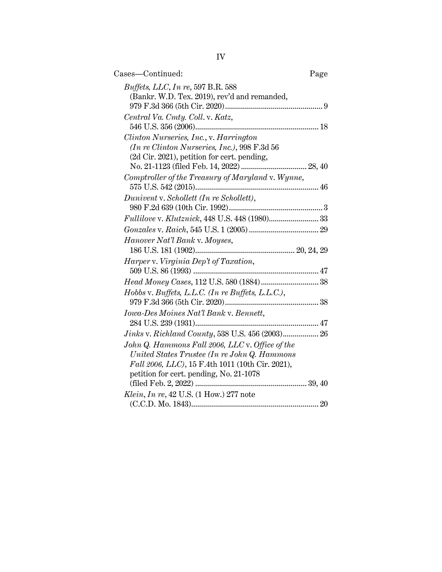| Cases—Continued:                                                                         | Page |
|------------------------------------------------------------------------------------------|------|
| <i>Buffets, LLC, In re, 597 B.R. 588</i><br>(Bankr. W.D. Tex. 2019), rev'd and remanded, |      |
|                                                                                          |      |
| Central Va. Cmty. Coll. v. Katz,                                                         |      |
|                                                                                          |      |
| Clinton Nurseries, Inc., v. Harrington                                                   |      |
| (In re Clinton Nurseries, Inc.), 998 F.3d 56                                             |      |
| (2d Cir. 2021), petition for cert. pending,                                              |      |
| Comptroller of the Treasury of Maryland v. Wynne,                                        |      |
|                                                                                          |      |
| Dunivent v. Schollett (In re Schollett),                                                 |      |
|                                                                                          |      |
|                                                                                          |      |
|                                                                                          |      |
| Hanover Nat'l Bank v. Moyses,                                                            |      |
|                                                                                          |      |
| Harper v. Virginia Dep't of Taxation,                                                    |      |
|                                                                                          |      |
|                                                                                          |      |
| Hobbs v. Buffets, L.L.C. (In re Buffets, L.L.C.),                                        |      |
| Iowa-Des Moines Nat'l Bank v. Bennett,                                                   |      |
|                                                                                          |      |
|                                                                                          |      |
| John Q. Hammons Fall 2006, LLC v. Office of the                                          |      |
| United States Trustee (In re John Q. Hammons                                             |      |
| Fall 2006, LLC), 15 F.4th 1011 (10th Cir. 2021),                                         |      |
| petition for cert. pending, No. 21-1078                                                  |      |
|                                                                                          |      |
| Klein, In re, 42 U.S. (1 How.) 277 note                                                  |      |
|                                                                                          |      |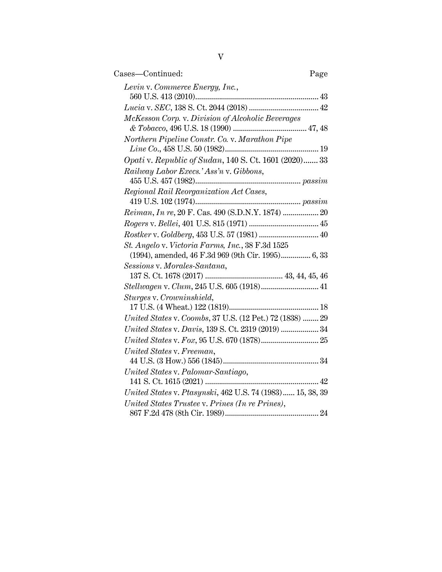| V                                                                                                      |
|--------------------------------------------------------------------------------------------------------|
| Cases-Continued:<br>Page                                                                               |
| Levin v. Commerce Energy, Inc.,                                                                        |
|                                                                                                        |
|                                                                                                        |
| McKesson Corp. v. Division of Alcoholic Beverages                                                      |
| Northern Pipeline Constr. Co. v. Marathon Pipe                                                         |
|                                                                                                        |
| Opati v. Republic of Sudan, 140 S. Ct. 1601 (2020) 33                                                  |
| Railway Labor Execs.' Ass'n v. Gibbons,                                                                |
| Regional Rail Reorganization Act Cases,                                                                |
|                                                                                                        |
| Reiman, In re, 20 F. Cas. 490 (S.D.N.Y. 1874)  20                                                      |
|                                                                                                        |
|                                                                                                        |
| St. Angelo v. Victoria Farms, Inc., 38 F.3d 1525<br>(1994), amended, 46 F.3d 969 (9th Cir. 1995) 6, 33 |
| Sessions v. Morales-Santana,                                                                           |
|                                                                                                        |
| Stellwagen v. Clum, 245 U.S. 605 (1918) 41                                                             |
| Sturges v. Crowninshield,                                                                              |
|                                                                                                        |
| United States v. Coombs, 37 U.S. (12 Pet.) 72 (1838)  29                                               |
| United States v. Davis, 139 S. Ct. 2319 (2019)  34                                                     |
|                                                                                                        |
| United States v. Freeman,                                                                              |
| United States v. Palomar-Santiago,                                                                     |
|                                                                                                        |
| United States v. Ptasynski, 462 U.S. 74 (1983) 15, 38, 39                                              |
| United States Trustee v. Prines (In re Prines),                                                        |
|                                                                                                        |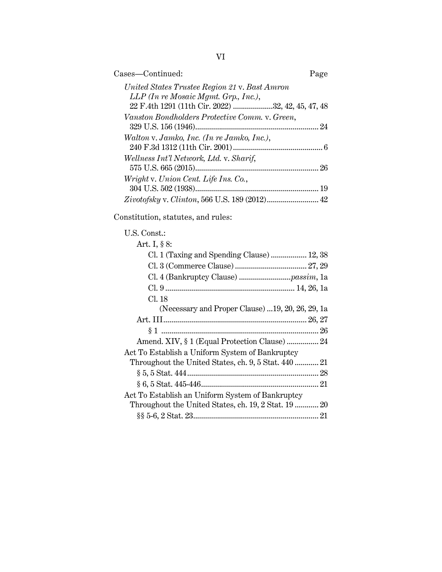| Cases-Continued:                                  | Page |
|---------------------------------------------------|------|
| United States Trustee Region 21 v. Bast Amron     |      |
| $LLP$ (In re Mosaic Mgmt. Grp., Inc.),            |      |
| 22 F.4th 1291 (11th Cir. 2022) 32, 42, 45, 47, 48 |      |
| Vanston Bondholders Protective Comm. v. Green,    |      |
|                                                   | 24   |
| Walton v. Jamko, Inc. (In re Jamko, Inc.),        |      |
|                                                   |      |
| Wellness Int'l Network, Ltd. v. Sharif,           |      |
|                                                   |      |
| Wright v. Union Cent. Life Ins. Co.,              |      |
|                                                   |      |
|                                                   |      |

Constitution, statutes, and rules:

# U.S. Const.:

| Art. I, § 8:                                         |  |
|------------------------------------------------------|--|
| Cl. 1 (Taxing and Spending Clause)  12, 38           |  |
|                                                      |  |
|                                                      |  |
|                                                      |  |
| Cl. 18                                               |  |
| (Necessary and Proper Clause) 19, 20, 26, 29, 1a     |  |
|                                                      |  |
|                                                      |  |
| Amend. XIV, § 1 (Equal Protection Clause)  24        |  |
| Act To Establish a Uniform System of Bankruptcy      |  |
| Throughout the United States, ch. 9, 5 Stat. 440  21 |  |
|                                                      |  |
|                                                      |  |
| Act To Establish an Uniform System of Bankruptcy     |  |
| Throughout the United States, ch. 19, 2 Stat. 19  20 |  |
|                                                      |  |
|                                                      |  |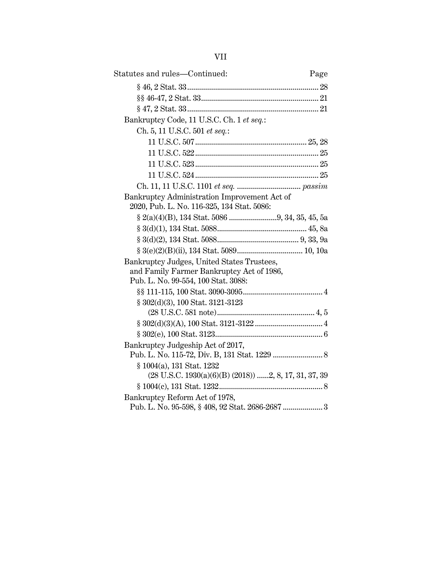| Statutes and rules-Continued:                                                              | Page |
|--------------------------------------------------------------------------------------------|------|
|                                                                                            |      |
|                                                                                            |      |
|                                                                                            |      |
| Bankruptcy Code, 11 U.S.C. Ch. 1 et seq.:                                                  |      |
| Ch. 5, 11 U.S.C. 501 et seq.:                                                              |      |
|                                                                                            |      |
|                                                                                            |      |
|                                                                                            |      |
|                                                                                            |      |
|                                                                                            |      |
| Bankruptcy Administration Improvement Act of<br>2020, Pub. L. No. 116-325, 134 Stat. 5086: |      |
|                                                                                            |      |
|                                                                                            |      |
|                                                                                            |      |
|                                                                                            |      |
| Bankruptcy Judges, United States Trustees,                                                 |      |
| and Family Farmer Bankruptcy Act of 1986,                                                  |      |
| Pub. L. No. 99-554, 100 Stat. 3088:                                                        |      |
|                                                                                            |      |
| § 302(d)(3), 100 Stat. 3121-3123                                                           |      |
|                                                                                            |      |
|                                                                                            |      |
|                                                                                            |      |
| Bankruptcy Judgeship Act of 2017,                                                          |      |
| § 1004(a), 131 Stat. 1232<br>$(28$ U.S.C. $1930(a)(6)(B)$ $(2018))$ 2, 8, 17, 31, 37, 39   |      |
|                                                                                            |      |
| Bankruptcy Reform Act of 1978,                                                             |      |
| Pub. L. No. 95-598, § 408, 92 Stat. 2686-2687  3                                           |      |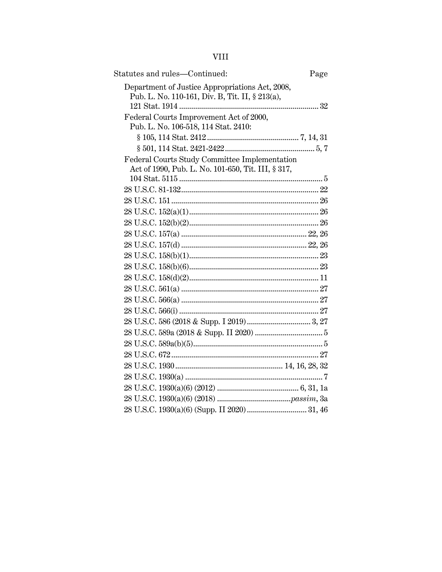| Statutes and rules-Continued:                                                                      | Page |
|----------------------------------------------------------------------------------------------------|------|
| Department of Justice Appropriations Act, 2008,<br>Pub. L. No. 110-161, Div. B, Tit. II, § 213(a), |      |
|                                                                                                    |      |
| Federal Courts Improvement Act of 2000,<br>Pub. L. No. 106-518, 114 Stat. 2410:                    |      |
|                                                                                                    |      |
|                                                                                                    |      |
| Federal Courts Study Committee Implementation                                                      |      |
| Act of 1990, Pub. L. No. 101-650, Tit. III, § 317,                                                 |      |
|                                                                                                    |      |
|                                                                                                    |      |
|                                                                                                    |      |
|                                                                                                    |      |
|                                                                                                    |      |
|                                                                                                    |      |
|                                                                                                    |      |
|                                                                                                    |      |
|                                                                                                    |      |
|                                                                                                    |      |
|                                                                                                    |      |
|                                                                                                    |      |
|                                                                                                    |      |
|                                                                                                    |      |
|                                                                                                    |      |
|                                                                                                    |      |
|                                                                                                    |      |
|                                                                                                    |      |
|                                                                                                    |      |
|                                                                                                    |      |
|                                                                                                    |      |
|                                                                                                    |      |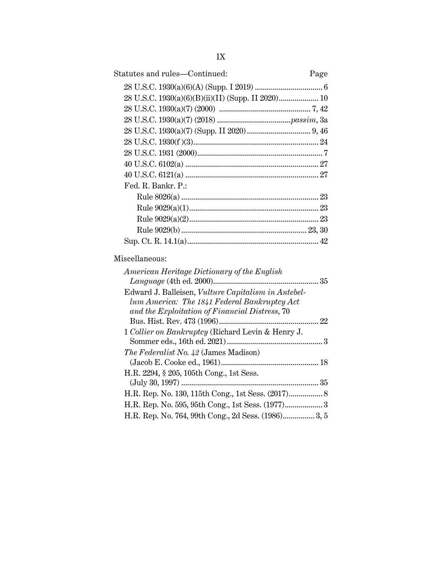| Statutes and rules—Continued:                      | Page |
|----------------------------------------------------|------|
|                                                    |      |
| 28 U.S.C. 1930(a)(6)(B)(ii)(II) (Supp. II 2020) 10 |      |
|                                                    |      |
|                                                    |      |
|                                                    |      |
|                                                    |      |
|                                                    |      |
|                                                    |      |
|                                                    |      |
| Fed. R. Bankr. P.:                                 |      |
|                                                    |      |
|                                                    |      |
|                                                    |      |
|                                                    |      |
|                                                    |      |
|                                                    |      |

# Miscellaneous:

| American Heritage Dictionary of the English         |
|-----------------------------------------------------|
|                                                     |
| Edward J. Balleisen, Vulture Capitalism in Antebel- |
| lum America: The 1841 Federal Bankruptcy Act        |
| and the Exploitation of Financial Distress, 70      |
|                                                     |
| 1 Collier on Bankruptcy (Richard Levin & Henry J.   |
|                                                     |
| <i>The Federalist No. 42 (James Madison)</i>        |
|                                                     |
| H.R. 2294, § 205, 105th Cong., 1st Sess.            |
|                                                     |
|                                                     |
|                                                     |
| H.R. Rep. No. 764, 99th Cong., 2d Sess. (1986) 3, 5 |
|                                                     |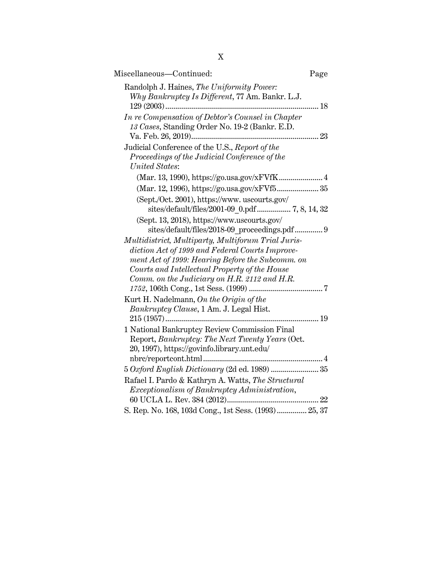| Miscellaneous-Continued:                                                                     | Page |
|----------------------------------------------------------------------------------------------|------|
| Randolph J. Haines, The Uniformity Power:<br>Why Bankruptcy Is Different, 77 Am. Bankr. L.J. |      |
| In re Compensation of Debtor's Counsel in Chapter                                            |      |
| 13 Cases, Standing Order No. 19-2 (Bankr. E.D.                                               |      |
|                                                                                              |      |
| Judicial Conference of the U.S., Report of the                                               |      |
| Proceedings of the Judicial Conference of the                                                |      |
| United States:                                                                               |      |
| (Mar. 13, 1990), https://go.usa.gov/xFVfK 4                                                  |      |
| (Mar. 12, 1996), https://go.usa.gov/xFVf5 35                                                 |      |
| (Sept./Oct. 2001), https://www.uscourts.gov/                                                 |      |
|                                                                                              |      |
| (Sept. 13, 2018), https://www.uscourts.gov/                                                  |      |
| sites/default/files/2018-09 proceedings.pdf 9                                                |      |
| Multidistrict, Multiparty, Multiforum Trial Juris-                                           |      |
| diction Act of 1999 and Federal Courts Improve-                                              |      |
| ment Act of 1999: Hearing Before the Subcomm. on                                             |      |
| Courts and Intellectual Property of the House                                                |      |
| Comm. on the Judiciary on H.R. 2112 and H.R.                                                 |      |
|                                                                                              |      |
| Kurt H. Nadelmann, On the Origin of the                                                      |      |
| Bankruptcy Clause, 1 Am. J. Legal Hist.                                                      |      |
|                                                                                              |      |
| 1 National Bankruptcy Review Commission Final                                                |      |
| Report, Bankruptcy: The Next Twenty Years (Oct.                                              |      |
| 20, 1997), https://govinfo.library.unt.edu/                                                  |      |
|                                                                                              |      |
| 5 Oxford English Dictionary (2d ed. 1989)  35                                                |      |
| Rafael I. Pardo & Kathryn A. Watts, The Structural                                           |      |
| Exceptionalism of Bankruptcy Administration,                                                 |      |
|                                                                                              |      |
| S. Rep. No. 168, 103d Cong., 1st Sess. (1993) 25, 37                                         |      |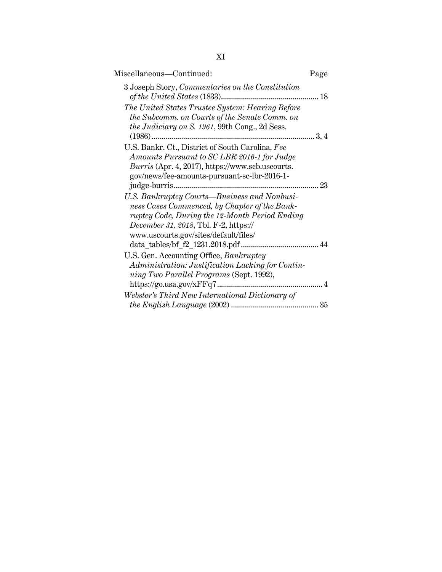| ٧<br>×, |  |
|---------|--|
|         |  |

| Page                                                                                                                                                  | Miscellaneous-Continued:                                                                                               |
|-------------------------------------------------------------------------------------------------------------------------------------------------------|------------------------------------------------------------------------------------------------------------------------|
| 3 Joseph Story, Commentaries on the Constitution                                                                                                      |                                                                                                                        |
| The United States Trustee System: Hearing Before<br>the Subcomm. on Courts of the Senate Comm. on                                                     | <i>the Judiciary on S. 1961</i> , 99th Cong., 2d Sess.<br>$(1986)$                                                     |
| Amounts Pursuant to SC LBR 2016-1 for Judge<br>Burris (Apr. 4, 2017), https://www.scb.uscourts.<br>gov/news/fee-amounts-pursuant-sc-lbr-2016-1-<br>23 | U.S. Bankr. Ct., District of South Carolina, Fee                                                                       |
| U.S. Bankruptcy Courts-Business and Nonbusi-<br>ness Cases Commenced, by Chapter of the Bank-<br>ruptcy Code, During the 12-Month Period Ending       | <i>December 31, 2018, Tbl. F-2, https://</i><br>www.uscourts.gov/sites/default/files/                                  |
| Administration: Justification Lacking for Contin-<br>4<br>Webster's Third New International Dictionary of                                             | U.S. Gen. Accounting Office, Bankruptcy<br><i>uing Two Parallel Programs</i> (Sept. 1992),<br>https://go.usa.gov/xFFq7 |
| 35                                                                                                                                                    |                                                                                                                        |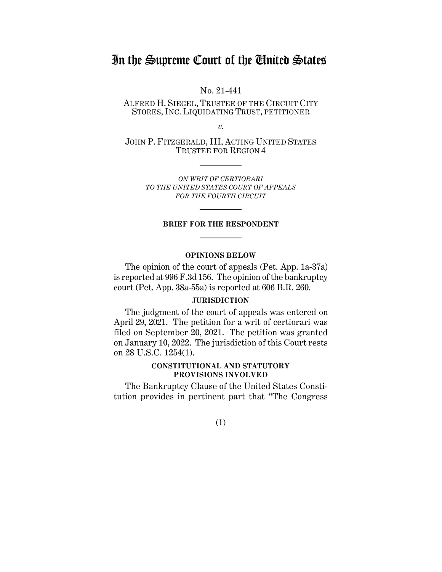# In the Supreme Court of the United States

No. 21-441

ALFRED H. SIEGEL, TRUSTEE OF THE CIRCUIT CITY STORES, INC. LIQUIDATING TRUST, PETITIONER

*v.*

JOHN P. FITZGERALD, III, ACTING UNITED STATES TRUSTEE FOR REGION 4

> *ON WRIT OF CERTIORARI TO THE UNITED STATES COURT OF APPEALS FOR THE FOURTH CIRCUIT*

#### **BRIEF FOR THE RESPONDENT**

#### **OPINIONS BELOW**

The opinion of the court of appeals (Pet. App. 1a-37a) is reported at 996 F.3d 156. The opinion of the bankruptcy court (Pet. App. 38a-55a) is reported at 606 B.R. 260.

#### **JURISDICTION**

The judgment of the court of appeals was entered on April 29, 2021. The petition for a writ of certiorari was filed on September 20, 2021. The petition was granted on January 10, 2022. The jurisdiction of this Court rests on 28 U.S.C. 1254(1).

#### **CONSTITUTIONAL AND STATUTORY PROVISIONS INVOLVED**

The Bankruptcy Clause of the United States Constitution provides in pertinent part that "The Congress

(1)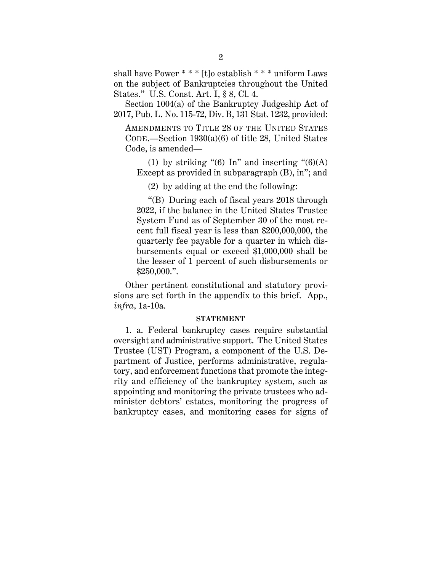shall have Power \* \* \* [t]o establish \* \* \* uniform Laws on the subject of Bankruptcies throughout the United States." U.S. Const. Art. I, § 8, Cl. 4.

Section 1004(a) of the Bankruptcy Judgeship Act of 2017, Pub. L. No. 115-72, Div. B, 131 Stat. 1232, provided:

AMENDMENTS TO TITLE 28 OF THE UNITED STATES CODE.—Section 1930(a)(6) of title 28, United States Code, is amended—

(1) by striking "(6) In" and inserting " $(6)(A)$ Except as provided in subparagraph (B), in"; and

(2) by adding at the end the following:

"(B) During each of fiscal years 2018 through 2022, if the balance in the United States Trustee System Fund as of September 30 of the most recent full fiscal year is less than \$200,000,000, the quarterly fee payable for a quarter in which disbursements equal or exceed \$1,000,000 shall be the lesser of 1 percent of such disbursements or \$250,000.".

Other pertinent constitutional and statutory provisions are set forth in the appendix to this brief. App., *infra*, 1a-10a.

#### **STATEMENT**

1. a. Federal bankruptcy cases require substantial oversight and administrative support. The United States Trustee (UST) Program, a component of the U.S. Department of Justice, performs administrative, regulatory, and enforcement functions that promote the integrity and efficiency of the bankruptcy system, such as appointing and monitoring the private trustees who administer debtors' estates, monitoring the progress of bankruptcy cases, and monitoring cases for signs of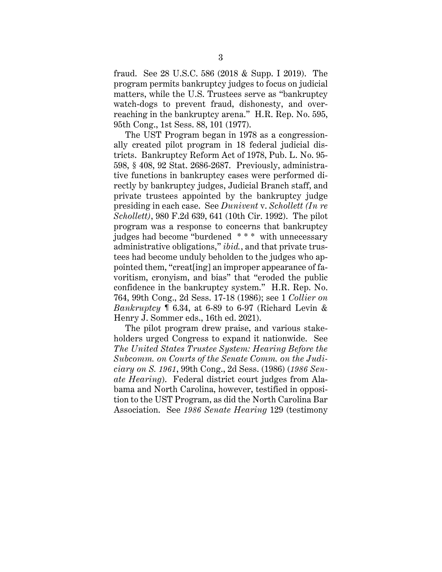fraud. See 28 U.S.C. 586 (2018 & Supp. I 2019). The program permits bankruptcy judges to focus on judicial matters, while the U.S. Trustees serve as "bankruptcy watch-dogs to prevent fraud, dishonesty, and overreaching in the bankruptcy arena." H.R. Rep. No. 595, 95th Cong., 1st Sess. 88, 101 (1977).

The UST Program began in 1978 as a congressionally created pilot program in 18 federal judicial districts. Bankruptcy Reform Act of 1978, Pub. L. No. 95- 598, § 408, 92 Stat. 2686-2687. Previously, administrative functions in bankruptcy cases were performed directly by bankruptcy judges, Judicial Branch staff, and private trustees appointed by the bankruptcy judge presiding in each case. See *Dunivent* v. *Schollett (In re Schollett)*, 980 F.2d 639, 641 (10th Cir. 1992). The pilot program was a response to concerns that bankruptcy judges had become "burdened \* \* \* with unnecessary administrative obligations," *ibid.*, and that private trustees had become unduly beholden to the judges who appointed them, "creat[ing] an improper appearance of favoritism, cronyism, and bias" that "eroded the public confidence in the bankruptcy system." H.R. Rep. No. 764, 99th Cong., 2d Sess. 17-18 (1986); see 1 *Collier on Bankruptcy* ¶ 6.34, at 6-89 to 6-97 (Richard Levin & Henry J. Sommer eds., 16th ed. 2021).

The pilot program drew praise, and various stakeholders urged Congress to expand it nationwide. See *The United States Trustee System: Hearing Before the Subcomm. on Courts of the Senate Comm. on the Judiciary on S. 1961*, 99th Cong., 2d Sess. (1986) (*1986 Senate Hearing*). Federal district court judges from Alabama and North Carolina, however, testified in opposition to the UST Program, as did the North Carolina Bar Association. See *1986 Senate Hearing* 129 (testimony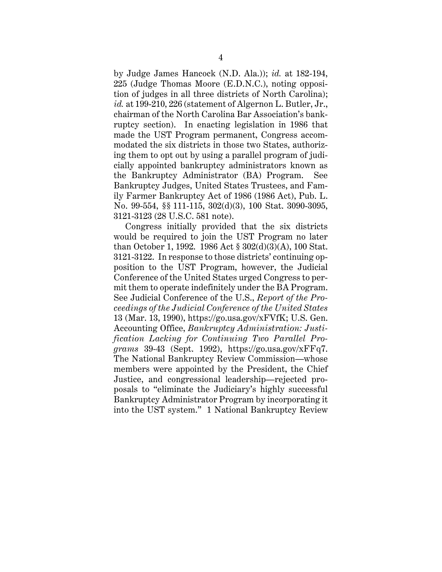by Judge James Hancock (N.D. Ala.)); *id.* at 182-194, 225 (Judge Thomas Moore (E.D.N.C.), noting opposition of judges in all three districts of North Carolina); *id.* at 199-210, 226 (statement of Algernon L. Butler, Jr., chairman of the North Carolina Bar Association's bankruptcy section). In enacting legislation in 1986 that made the UST Program permanent, Congress accommodated the six districts in those two States, authorizing them to opt out by using a parallel program of judicially appointed bankruptcy administrators known as the Bankruptcy Administrator (BA) Program. See Bankruptcy Judges, United States Trustees, and Family Farmer Bankruptcy Act of 1986 (1986 Act), Pub. L. No. 99-554, §§ 111-115, 302(d)(3), 100 Stat. 3090-3095, 3121-3123 (28 U.S.C. 581 note).

Congress initially provided that the six districts would be required to join the UST Program no later than October 1, 1992. 1986 Act § 302(d)(3)(A), 100 Stat. 3121-3122. In response to those districts' continuing opposition to the UST Program, however, the Judicial Conference of the United States urged Congress to permit them to operate indefinitely under the BA Program. See Judicial Conference of the U.S., *Report of the Proceedings of the Judicial Conference of the United States* 13 (Mar. 13, 1990), https://go.usa.gov/xFVfK; U.S. Gen. Accounting Office, *Bankruptcy Administration: Justification Lacking for Continuing Two Parallel Programs* 39-43 (Sept. 1992), https://go.usa.gov/xFFq7. The National Bankruptcy Review Commission—whose members were appointed by the President, the Chief Justice, and congressional leadership—rejected proposals to "eliminate the Judiciary's highly successful Bankruptcy Administrator Program by incorporating it into the UST system." 1 National Bankruptcy Review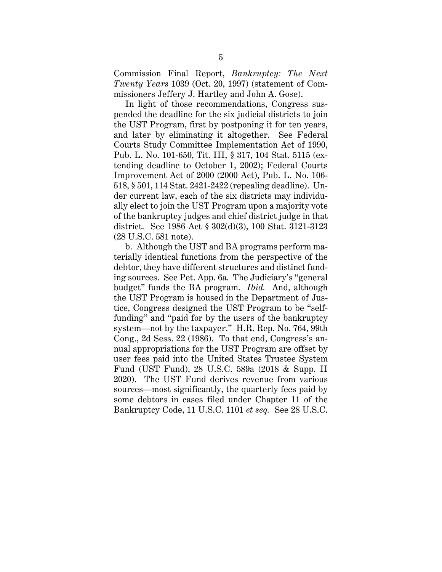Commission Final Report, *Bankruptcy: The Next Twenty Years* 1039 (Oct. 20, 1997) (statement of Commissioners Jeffery J. Hartley and John A. Gose).

In light of those recommendations, Congress suspended the deadline for the six judicial districts to join the UST Program, first by postponing it for ten years, and later by eliminating it altogether. See Federal Courts Study Committee Implementation Act of 1990, Pub. L. No. 101-650, Tit. III, § 317, 104 Stat. 5115 (extending deadline to October 1, 2002); Federal Courts Improvement Act of 2000 (2000 Act), Pub. L. No. 106- 518, § 501, 114 Stat. 2421-2422 (repealing deadline). Under current law, each of the six districts may individually elect to join the UST Program upon a majority vote of the bankruptcy judges and chief district judge in that district. See 1986 Act § 302(d)(3), 100 Stat. 3121-3123 (28 U.S.C. 581 note).

b. Although the UST and BA programs perform materially identical functions from the perspective of the debtor, they have different structures and distinct funding sources. See Pet. App. 6a. The Judiciary's "general budget" funds the BA program. *Ibid.* And, although the UST Program is housed in the Department of Justice, Congress designed the UST Program to be "selffunding" and "paid for by the users of the bankruptcy system—not by the taxpayer." H.R. Rep. No. 764, 99th Cong., 2d Sess. 22 (1986). To that end, Congress's annual appropriations for the UST Program are offset by user fees paid into the United States Trustee System Fund (UST Fund), 28 U.S.C. 589a (2018 & Supp. II 2020). The UST Fund derives revenue from various sources—most significantly, the quarterly fees paid by some debtors in cases filed under Chapter 11 of the Bankruptcy Code, 11 U.S.C. 1101 *et seq.* See 28 U.S.C.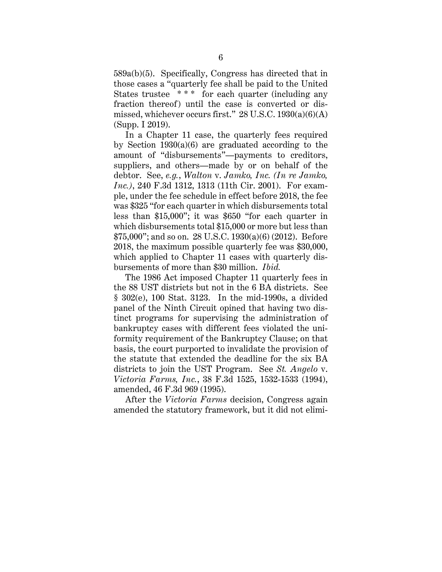589a(b)(5). Specifically, Congress has directed that in those cases a "quarterly fee shall be paid to the United States trustee \*\*\* for each quarter (including any fraction thereof) until the case is converted or dismissed, whichever occurs first."  $28$  U.S.C.  $1930(a)(6)(A)$ (Supp. I 2019).

In a Chapter 11 case, the quarterly fees required by Section 1930(a)(6) are graduated according to the amount of "disbursements"—payments to creditors, suppliers, and others—made by or on behalf of the debtor. See, *e.g.*, *Walton* v. *Jamko, Inc. (In re Jamko, Inc.)*, 240 F.3d 1312, 1313 (11th Cir. 2001). For example, under the fee schedule in effect before 2018, the fee was \$325 "for each quarter in which disbursements total less than \$15,000"; it was \$650 "for each quarter in which disbursements total \$15,000 or more but less than \$75,000"; and so on. 28 U.S.C. 1930(a)(6) (2012). Before 2018, the maximum possible quarterly fee was \$30,000, which applied to Chapter 11 cases with quarterly disbursements of more than \$30 million. *Ibid.*

The 1986 Act imposed Chapter 11 quarterly fees in the 88 UST districts but not in the 6 BA districts. See § 302(e), 100 Stat. 3123. In the mid-1990s, a divided panel of the Ninth Circuit opined that having two distinct programs for supervising the administration of bankruptcy cases with different fees violated the uniformity requirement of the Bankruptcy Clause; on that basis, the court purported to invalidate the provision of the statute that extended the deadline for the six BA districts to join the UST Program. See *St. Angelo* v. *Victoria Farms, Inc.*, 38 F.3d 1525, 1532-1533 (1994), amended, 46 F.3d 969 (1995).

After the *Victoria Farms* decision, Congress again amended the statutory framework, but it did not elimi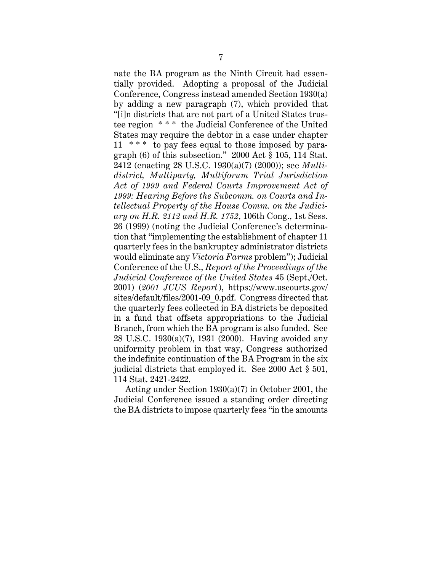nate the BA program as the Ninth Circuit had essentially provided. Adopting a proposal of the Judicial Conference, Congress instead amended Section 1930(a) by adding a new paragraph (7), which provided that "[i]n districts that are not part of a United States trustee region \* \* \* the Judicial Conference of the United States may require the debtor in a case under chapter 11 \* \* \* to pay fees equal to those imposed by paragraph (6) of this subsection." 2000 Act § 105, 114 Stat. 2412 (enacting 28 U.S.C. 1930(a)(7) (2000)); see *Multidistrict, Multiparty, Multiforum Trial Jurisdiction Act of 1999 and Federal Courts Improvement Act of 1999: Hearing Before the Subcomm. on Courts and Intellectual Property of the House Comm. on the Judiciary on H.R. 2112 and H.R. 1752*, 106th Cong., 1st Sess. 26 (1999) (noting the Judicial Conference's determination that "implementing the establishment of chapter 11 quarterly fees in the bankruptcy administrator districts would eliminate any *Victoria Farms* problem"); Judicial Conference of the U.S., *Report of the Proceedings of the Judicial Conference of the United States* 45 (Sept./Oct. 2001) (*2001 JCUS Report*), https://www.uscourts.gov/ sites/default/files/2001-09\_0.pdf. Congress directed that the quarterly fees collected in BA districts be deposited in a fund that offsets appropriations to the Judicial Branch, from which the BA program is also funded. See 28 U.S.C. 1930(a)(7), 1931 (2000). Having avoided any uniformity problem in that way, Congress authorized the indefinite continuation of the BA Program in the six judicial districts that employed it. See 2000 Act § 501, 114 Stat. 2421-2422.

Acting under Section 1930(a)(7) in October 2001, the Judicial Conference issued a standing order directing the BA districts to impose quarterly fees "in the amounts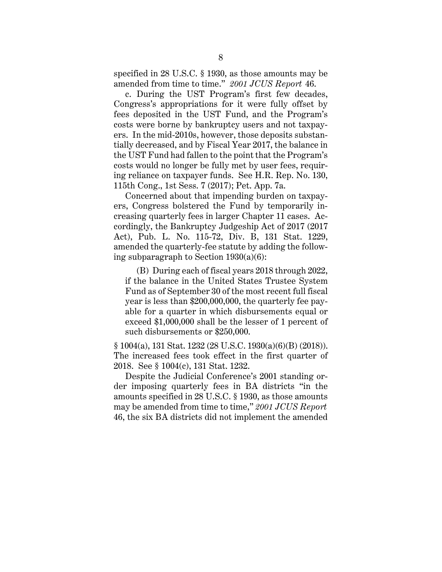specified in 28 U.S.C. § 1930, as those amounts may be amended from time to time." *2001 JCUS Report* 46.

c. During the UST Program's first few decades, Congress's appropriations for it were fully offset by fees deposited in the UST Fund, and the Program's costs were borne by bankruptcy users and not taxpayers. In the mid-2010s, however, those deposits substantially decreased, and by Fiscal Year 2017, the balance in the UST Fund had fallen to the point that the Program's costs would no longer be fully met by user fees, requiring reliance on taxpayer funds. See H.R. Rep. No. 130, 115th Cong., 1st Sess. 7 (2017); Pet. App. 7a.

Concerned about that impending burden on taxpayers, Congress bolstered the Fund by temporarily increasing quarterly fees in larger Chapter 11 cases. Accordingly, the Bankruptcy Judgeship Act of 2017 (2017 Act), Pub. L. No. 115-72, Div. B, 131 Stat. 1229, amended the quarterly-fee statute by adding the following subparagraph to Section 1930(a)(6):

(B) During each of fiscal years 2018 through 2022, if the balance in the United States Trustee System Fund as of September 30 of the most recent full fiscal year is less than \$200,000,000, the quarterly fee payable for a quarter in which disbursements equal or exceed \$1,000,000 shall be the lesser of 1 percent of such disbursements or \$250,000.

§ 1004(a), 131 Stat. 1232 (28 U.S.C. 1930(a)(6)(B) (2018)). The increased fees took effect in the first quarter of 2018. See § 1004(c), 131 Stat. 1232.

Despite the Judicial Conference's 2001 standing order imposing quarterly fees in BA districts "in the amounts specified in 28 U.S.C. § 1930, as those amounts may be amended from time to time," *2001 JCUS Report* 46, the six BA districts did not implement the amended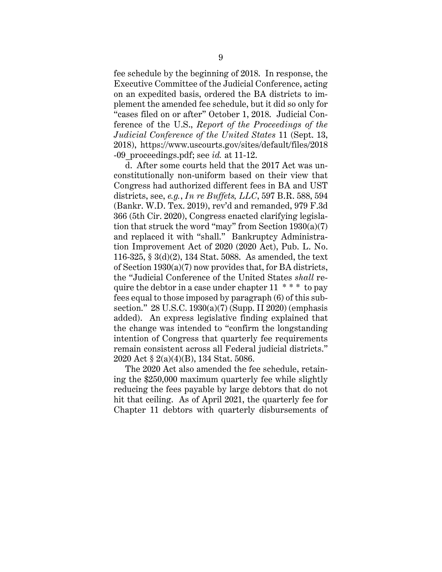fee schedule by the beginning of 2018. In response, the Executive Committee of the Judicial Conference, acting on an expedited basis, ordered the BA districts to implement the amended fee schedule, but it did so only for "cases filed on or after" October 1, 2018. Judicial Conference of the U.S., *Report of the Proceedings of the Judicial Conference of the United States* 11 (Sept. 13, 2018), https://www.uscourts.gov/sites/default/files/2018 -09\_proceedings.pdf; see *id.* at 11-12.

d. After some courts held that the 2017 Act was unconstitutionally non-uniform based on their view that Congress had authorized different fees in BA and UST districts, see, *e.g.*, *In re Buffets, LLC*, 597 B.R. 588, 594 (Bankr. W.D. Tex. 2019), rev'd and remanded, 979 F.3d 366 (5th Cir. 2020), Congress enacted clarifying legislation that struck the word "may" from Section 1930(a)(7) and replaced it with "shall." Bankruptcy Administration Improvement Act of 2020 (2020 Act), Pub. L. No. 116-325, § 3(d)(2), 134 Stat. 5088. As amended, the text of Section 1930(a)(7) now provides that, for BA districts, the "Judicial Conference of the United States *shall* require the debtor in a case under chapter  $11 \cdot * * *$  to pay fees equal to those imposed by paragraph (6) of this subsection." 28 U.S.C. 1930(a)(7) (Supp. II 2020) (emphasis added). An express legislative finding explained that the change was intended to "confirm the longstanding intention of Congress that quarterly fee requirements remain consistent across all Federal judicial districts." 2020 Act § 2(a)(4)(B), 134 Stat. 5086.

The 2020 Act also amended the fee schedule, retaining the \$250,000 maximum quarterly fee while slightly reducing the fees payable by large debtors that do not hit that ceiling. As of April 2021, the quarterly fee for Chapter 11 debtors with quarterly disbursements of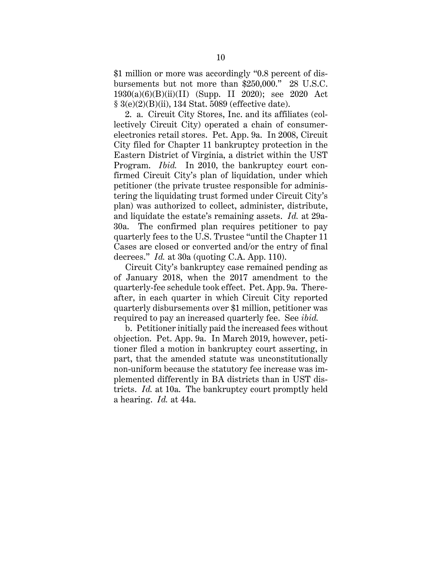\$1 million or more was accordingly "0.8 percent of disbursements but not more than \$250,000." 28 U.S.C. 1930(a)(6)(B)(ii)(II) (Supp. II 2020); see 2020 Act § 3(e)(2)(B)(ii), 134 Stat. 5089 (effective date).

2. a. Circuit City Stores, Inc. and its affiliates (collectively Circuit City) operated a chain of consumerelectronics retail stores. Pet. App. 9a. In 2008, Circuit City filed for Chapter 11 bankruptcy protection in the Eastern District of Virginia, a district within the UST Program. *Ibid.* In 2010, the bankruptcy court confirmed Circuit City's plan of liquidation, under which petitioner (the private trustee responsible for administering the liquidating trust formed under Circuit City's plan) was authorized to collect, administer, distribute, and liquidate the estate's remaining assets. *Id.* at 29a-30a. The confirmed plan requires petitioner to pay quarterly fees to the U.S. Trustee "until the Chapter 11 Cases are closed or converted and/or the entry of final decrees." *Id.* at 30a (quoting C.A. App. 110).

Circuit City's bankruptcy case remained pending as of January 2018, when the 2017 amendment to the quarterly-fee schedule took effect. Pet. App. 9a. Thereafter, in each quarter in which Circuit City reported quarterly disbursements over \$1 million, petitioner was required to pay an increased quarterly fee. See *ibid.*

b. Petitioner initially paid the increased fees without objection. Pet. App. 9a. In March 2019, however, petitioner filed a motion in bankruptcy court asserting, in part, that the amended statute was unconstitutionally non-uniform because the statutory fee increase was implemented differently in BA districts than in UST districts. *Id.* at 10a. The bankruptcy court promptly held a hearing. *Id.* at 44a.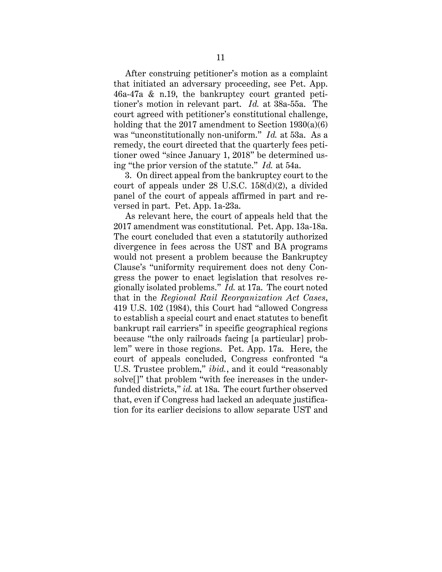After construing petitioner's motion as a complaint that initiated an adversary proceeding, see Pet. App. 46a-47a & n.19, the bankruptcy court granted petitioner's motion in relevant part. *Id.* at 38a-55a. The court agreed with petitioner's constitutional challenge, holding that the 2017 amendment to Section 1930(a)(6) was "unconstitutionally non-uniform." *Id.* at 53a. As a remedy, the court directed that the quarterly fees petitioner owed "since January 1, 2018" be determined using "the prior version of the statute." *Id.* at 54a.

3. On direct appeal from the bankruptcy court to the court of appeals under 28 U.S.C. 158(d)(2), a divided panel of the court of appeals affirmed in part and reversed in part. Pet. App. 1a-23a.

As relevant here, the court of appeals held that the 2017 amendment was constitutional. Pet. App. 13a-18a. The court concluded that even a statutorily authorized divergence in fees across the UST and BA programs would not present a problem because the Bankruptcy Clause's "uniformity requirement does not deny Congress the power to enact legislation that resolves regionally isolated problems." *Id.* at 17a. The court noted that in the *Regional Rail Reorganization Act Cases*, 419 U.S. 102 (1984), this Court had "allowed Congress to establish a special court and enact statutes to benefit bankrupt rail carriers" in specific geographical regions because "the only railroads facing [a particular] problem" were in those regions. Pet. App. 17a. Here, the court of appeals concluded, Congress confronted "a U.S. Trustee problem," *ibid.*, and it could "reasonably solve<sup>[]"</sup> that problem "with fee increases in the underfunded districts," *id.* at 18a. The court further observed that, even if Congress had lacked an adequate justification for its earlier decisions to allow separate UST and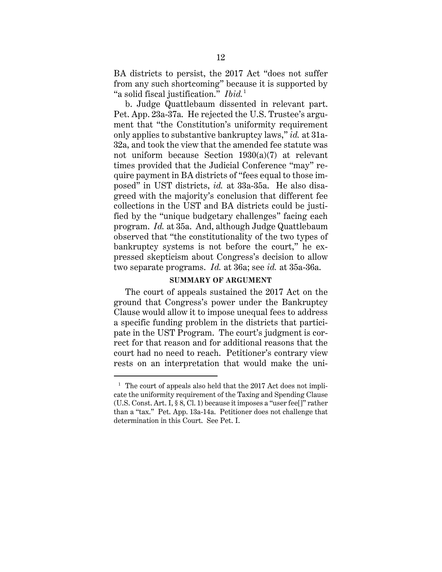BA districts to persist, the 2017 Act "does not suffer from any such shortcoming" because it is supported by "a solid fiscal justification." *Ibid.* 1

b. Judge Quattlebaum dissented in relevant part. Pet. App. 23a-37a. He rejected the U.S. Trustee's argument that "the Constitution's uniformity requirement only applies to substantive bankruptcy laws," *id.* at 31a-32a, and took the view that the amended fee statute was not uniform because Section 1930(a)(7) at relevant times provided that the Judicial Conference "may" require payment in BA districts of "fees equal to those imposed" in UST districts, *id.* at 33a-35a. He also disagreed with the majority's conclusion that different fee collections in the UST and BA districts could be justified by the "unique budgetary challenges" facing each program. *Id.* at 35a. And, although Judge Quattlebaum observed that "the constitutionality of the two types of bankruptcy systems is not before the court," he expressed skepticism about Congress's decision to allow two separate programs. *Id.* at 36a; see *id.* at 35a-36a.

#### **SUMMARY OF ARGUMENT**

The court of appeals sustained the 2017 Act on the ground that Congress's power under the Bankruptcy Clause would allow it to impose unequal fees to address a specific funding problem in the districts that participate in the UST Program. The court's judgment is correct for that reason and for additional reasons that the court had no need to reach. Petitioner's contrary view rests on an interpretation that would make the uni-

<sup>&</sup>lt;sup>1</sup> The court of appeals also held that the 2017 Act does not implicate the uniformity requirement of the Taxing and Spending Clause (U.S. Const. Art. I, § 8, Cl. 1) because it imposes a "user fee[]" rather than a "tax." Pet. App. 13a-14a. Petitioner does not challenge that determination in this Court. See Pet. I.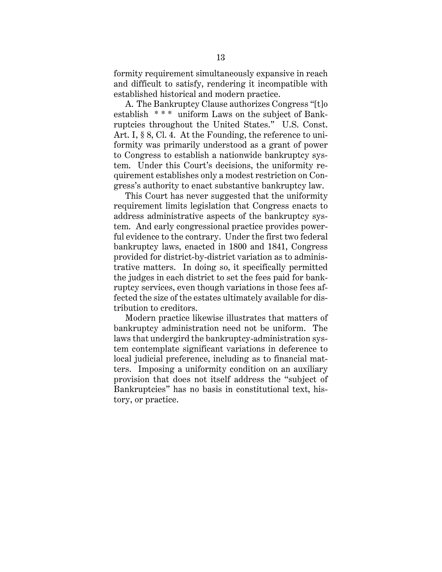formity requirement simultaneously expansive in reach and difficult to satisfy, rendering it incompatible with established historical and modern practice.

A. The Bankruptcy Clause authorizes Congress "[t]o establish \* \* \* uniform Laws on the subject of Bankruptcies throughout the United States." U.S. Const. Art. I, § 8, Cl. 4. At the Founding, the reference to uniformity was primarily understood as a grant of power to Congress to establish a nationwide bankruptcy system. Under this Court's decisions, the uniformity requirement establishes only a modest restriction on Congress's authority to enact substantive bankruptcy law.

This Court has never suggested that the uniformity requirement limits legislation that Congress enacts to address administrative aspects of the bankruptcy system. And early congressional practice provides powerful evidence to the contrary. Under the first two federal bankruptcy laws, enacted in 1800 and 1841, Congress provided for district-by-district variation as to administrative matters. In doing so, it specifically permitted the judges in each district to set the fees paid for bankruptcy services, even though variations in those fees affected the size of the estates ultimately available for distribution to creditors.

Modern practice likewise illustrates that matters of bankruptcy administration need not be uniform. The laws that undergird the bankruptcy-administration system contemplate significant variations in deference to local judicial preference, including as to financial matters. Imposing a uniformity condition on an auxiliary provision that does not itself address the "subject of Bankruptcies" has no basis in constitutional text, history, or practice.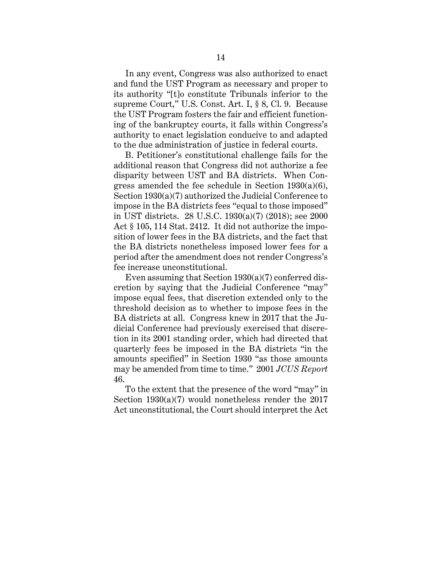In any event, Congress was also authorized to enact and fund the UST Program as necessary and proper to its authority "[t]o constitute Tribunals inferior to the supreme Court," U.S. Const. Art. I, § 8, Cl. 9. Because the UST Program fosters the fair and efficient functioning of the bankruptcy courts, it falls within Congress's authority to enact legislation conducive to and adapted to the due administration of justice in federal courts.

B. Petitioner's constitutional challenge fails for the additional reason that Congress did not authorize a fee disparity between UST and BA districts. When Congress amended the fee schedule in Section  $1930(a)(6)$ , Section 1930(a)(7) authorized the Judicial Conference to impose in the BA districts fees "equal to those imposed" in UST districts. 28 U.S.C. 1930(a)(7) (2018); see 2000 Act § 105, 114 Stat. 2412. It did not authorize the imposition of lower fees in the BA districts, and the fact that the BA districts nonetheless imposed lower fees for a period after the amendment does not render Congress's fee increase unconstitutional.

Even assuming that Section 1930(a)(7) conferred discretion by saying that the Judicial Conference "may" impose equal fees, that discretion extended only to the threshold decision as to whether to impose fees in the BA districts at all. Congress knew in 2017 that the Judicial Conference had previously exercised that discretion in its 2001 standing order, which had directed that quarterly fees be imposed in the BA districts "in the amounts specified" in Section 1930 "as those amounts may be amended from time to time." 2001 *JCUS Report* 46.

To the extent that the presence of the word "may" in Section 1930(a)(7) would nonetheless render the 2017 Act unconstitutional, the Court should interpret the Act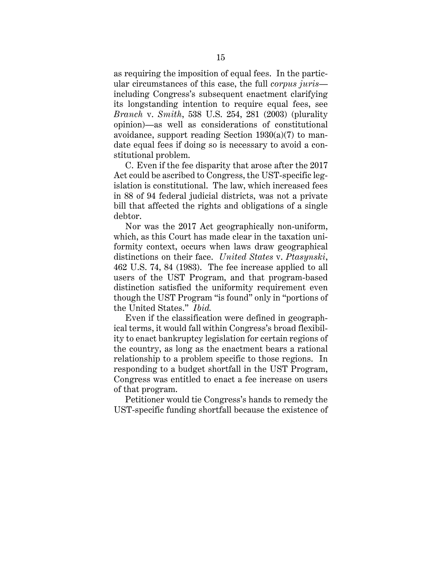as requiring the imposition of equal fees. In the particular circumstances of this case, the full *corpus juris* including Congress's subsequent enactment clarifying its longstanding intention to require equal fees, see *Branch* v. *Smith*, 538 U.S. 254, 281 (2003) (plurality opinion)—as well as considerations of constitutional avoidance, support reading Section 1930(a)(7) to mandate equal fees if doing so is necessary to avoid a constitutional problem.

C. Even if the fee disparity that arose after the 2017 Act could be ascribed to Congress, the UST-specific legislation is constitutional. The law, which increased fees in 88 of 94 federal judicial districts, was not a private bill that affected the rights and obligations of a single debtor.

Nor was the 2017 Act geographically non-uniform, which, as this Court has made clear in the taxation uniformity context, occurs when laws draw geographical distinctions on their face. *United States* v. *Ptasynski*, 462 U.S. 74, 84 (1983). The fee increase applied to all users of the UST Program, and that program-based distinction satisfied the uniformity requirement even though the UST Program "is found" only in "portions of the United States." *Ibid.*

Even if the classification were defined in geographical terms, it would fall within Congress's broad flexibility to enact bankruptcy legislation for certain regions of the country, as long as the enactment bears a rational relationship to a problem specific to those regions. In responding to a budget shortfall in the UST Program, Congress was entitled to enact a fee increase on users of that program.

Petitioner would tie Congress's hands to remedy the UST-specific funding shortfall because the existence of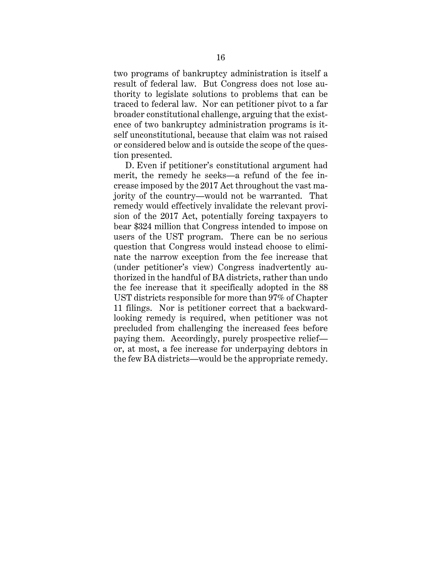two programs of bankruptcy administration is itself a result of federal law. But Congress does not lose authority to legislate solutions to problems that can be traced to federal law. Nor can petitioner pivot to a far broader constitutional challenge, arguing that the existence of two bankruptcy administration programs is itself unconstitutional, because that claim was not raised or considered below and is outside the scope of the question presented.

D. Even if petitioner's constitutional argument had merit, the remedy he seeks—a refund of the fee increase imposed by the 2017 Act throughout the vast majority of the country—would not be warranted. That remedy would effectively invalidate the relevant provision of the 2017 Act, potentially forcing taxpayers to bear \$324 million that Congress intended to impose on users of the UST program. There can be no serious question that Congress would instead choose to eliminate the narrow exception from the fee increase that (under petitioner's view) Congress inadvertently authorized in the handful of BA districts, rather than undo the fee increase that it specifically adopted in the 88 UST districts responsible for more than 97% of Chapter 11 filings. Nor is petitioner correct that a backwardlooking remedy is required, when petitioner was not precluded from challenging the increased fees before paying them. Accordingly, purely prospective relief or, at most, a fee increase for underpaying debtors in the few BA districts—would be the appropriate remedy.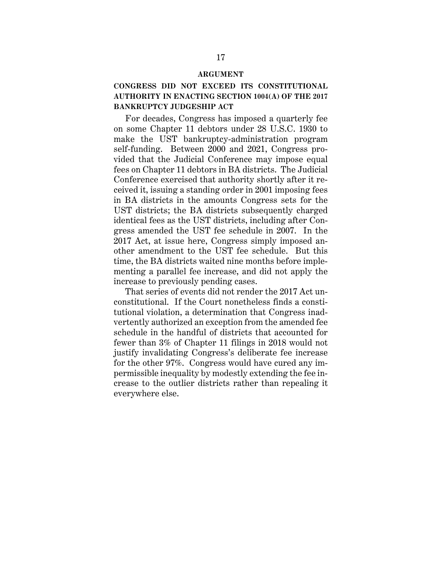#### **ARGUMENT**

### **CONGRESS DID NOT EXCEED ITS CONSTITUTIONAL AUTHORITY IN ENACTING SECTION 1004(A) OF THE 2017 BANKRUPTCY JUDGESHIP ACT**

For decades, Congress has imposed a quarterly fee on some Chapter 11 debtors under 28 U.S.C. 1930 to make the UST bankruptcy-administration program self-funding. Between 2000 and 2021, Congress provided that the Judicial Conference may impose equal fees on Chapter 11 debtors in BA districts. The Judicial Conference exercised that authority shortly after it received it, issuing a standing order in 2001 imposing fees in BA districts in the amounts Congress sets for the UST districts; the BA districts subsequently charged identical fees as the UST districts, including after Congress amended the UST fee schedule in 2007. In the 2017 Act, at issue here, Congress simply imposed another amendment to the UST fee schedule. But this time, the BA districts waited nine months before implementing a parallel fee increase, and did not apply the increase to previously pending cases.

That series of events did not render the 2017 Act unconstitutional. If the Court nonetheless finds a constitutional violation, a determination that Congress inadvertently authorized an exception from the amended fee schedule in the handful of districts that accounted for fewer than 3% of Chapter 11 filings in 2018 would not justify invalidating Congress's deliberate fee increase for the other 97%. Congress would have cured any impermissible inequality by modestly extending the fee increase to the outlier districts rather than repealing it everywhere else.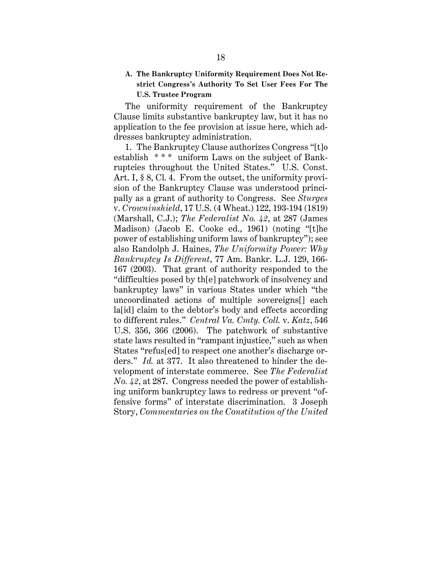### **A. The Bankruptcy Uniformity Requirement Does Not Restrict Congress's Authority To Set User Fees For The U.S. Trustee Program**

The uniformity requirement of the Bankruptcy Clause limits substantive bankruptcy law, but it has no application to the fee provision at issue here, which addresses bankruptcy administration.

1. The Bankruptcy Clause authorizes Congress "[t]o establish \* \* \* uniform Laws on the subject of Bankruptcies throughout the United States." U.S. Const. Art. I, § 8, Cl. 4. From the outset, the uniformity provision of the Bankruptcy Clause was understood principally as a grant of authority to Congress. See *Sturges*  v. *Crowninshield*, 17 U.S. (4 Wheat.) 122, 193-194 (1819) (Marshall, C.J.); *The Federalist No. 42*, at 287 (James Madison) (Jacob E. Cooke ed., 1961) (noting "[t]he power of establishing uniform laws of bankruptcy"); see also Randolph J. Haines, *The Uniformity Power: Why Bankruptcy Is Different*, 77 Am. Bankr. L.J. 129, 166- 167 (2003). That grant of authority responded to the "difficulties posed by th[e] patchwork of insolvency and bankruptcy laws" in various States under which "the uncoordinated actions of multiple sovereigns[] each la[id] claim to the debtor's body and effects according to different rules." *Central Va. Cmty. Coll.* v. *Katz*, 546 U.S. 356, 366 (2006). The patchwork of substantive state laws resulted in "rampant injustice," such as when States "refus[ed] to respect one another's discharge orders." *Id.* at 377. It also threatened to hinder the development of interstate commerce. See *The Federalist No. 42*, at 287. Congress needed the power of establishing uniform bankruptcy laws to redress or prevent "offensive forms" of interstate discrimination. 3 Joseph Story, *Commentaries on the Constitution of the United*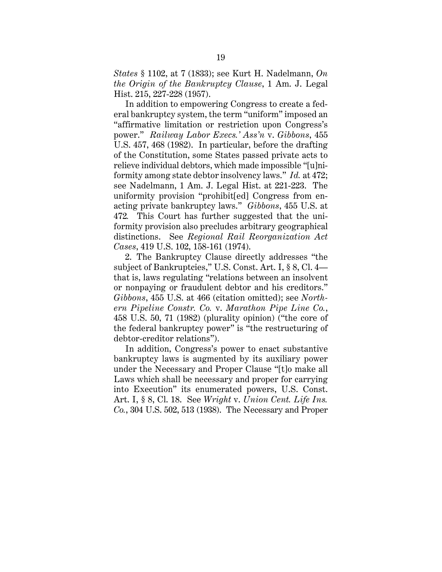*States* § 1102, at 7 (1833); see Kurt H. Nadelmann, *On the Origin of the Bankruptcy Clause*, 1 Am. J. Legal Hist. 215, 227-228 (1957).

In addition to empowering Congress to create a federal bankruptcy system, the term "uniform" imposed an "affirmative limitation or restriction upon Congress's power." *Railway Labor Execs.' Ass'n* v. *Gibbons*, 455 U.S. 457, 468 (1982). In particular, before the drafting of the Constitution, some States passed private acts to relieve individual debtors, which made impossible "[u]niformity among state debtor insolvency laws." *Id.* at 472; see Nadelmann, 1 Am. J. Legal Hist. at 221-223. The uniformity provision "prohibit[ed] Congress from enacting private bankruptcy laws." *Gibbons*, 455 U.S. at 472*.* This Court has further suggested that the uniformity provision also precludes arbitrary geographical distinctions. See *Regional Rail Reorganization Act Cases*, 419 U.S. 102, 158-161 (1974).

2. The Bankruptcy Clause directly addresses "the subject of Bankruptcies," U.S. Const. Art. I, § 8, Cl. 4 that is, laws regulating "relations between an insolvent or nonpaying or fraudulent debtor and his creditors." *Gibbons*, 455 U.S. at 466 (citation omitted); see *Northern Pipeline Constr. Co.* v. *Marathon Pipe Line Co.*, 458 U.S. 50, 71 (1982) (plurality opinion) ("the core of the federal bankruptcy power" is "the restructuring of debtor-creditor relations").

In addition, Congress's power to enact substantive bankruptcy laws is augmented by its auxiliary power under the Necessary and Proper Clause "[t]o make all Laws which shall be necessary and proper for carrying into Execution" its enumerated powers, U.S. Const. Art. I, § 8, Cl. 18. See *Wright* v. *Union Cent. Life Ins. Co.*, 304 U.S. 502, 513 (1938). The Necessary and Proper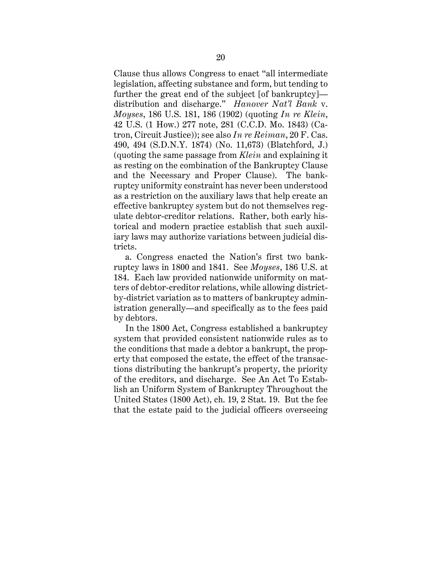Clause thus allows Congress to enact "all intermediate legislation, affecting substance and form, but tending to further the great end of the subject [of bankruptcy] distribution and discharge." *Hanover Nat'l Bank* v. *Moyses*, 186 U.S. 181, 186 (1902) (quoting *In re Klein*, 42 U.S. (1 How.) 277 note, 281 (C.C.D. Mo. 1843) (Catron, Circuit Justice)); see also *In re Reiman*, 20 F. Cas. 490, 494 (S.D.N.Y. 1874) (No. 11,673) (Blatchford, J.) (quoting the same passage from *Klein* and explaining it as resting on the combination of the Bankruptcy Clause and the Necessary and Proper Clause). The bankruptcy uniformity constraint has never been understood as a restriction on the auxiliary laws that help create an effective bankruptcy system but do not themselves regulate debtor-creditor relations. Rather, both early historical and modern practice establish that such auxiliary laws may authorize variations between judicial districts.

a. Congress enacted the Nation's first two bankruptcy laws in 1800 and 1841. See *Moyses*, 186 U.S. at 184. Each law provided nationwide uniformity on matters of debtor-creditor relations, while allowing districtby-district variation as to matters of bankruptcy administration generally—and specifically as to the fees paid by debtors.

In the 1800 Act, Congress established a bankruptcy system that provided consistent nationwide rules as to the conditions that made a debtor a bankrupt, the property that composed the estate, the effect of the transactions distributing the bankrupt's property, the priority of the creditors, and discharge. See An Act To Establish an Uniform System of Bankruptcy Throughout the United States (1800 Act), ch. 19, 2 Stat. 19. But the fee that the estate paid to the judicial officers overseeing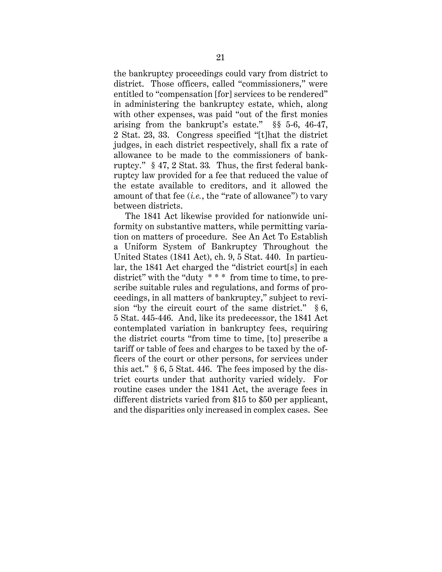the bankruptcy proceedings could vary from district to district. Those officers, called "commissioners," were entitled to "compensation [for] services to be rendered" in administering the bankruptcy estate, which, along with other expenses, was paid "out of the first monies arising from the bankrupt's estate." §§ 5-6, 46-47, 2 Stat. 23, 33. Congress specified "[t]hat the district judges, in each district respectively, shall fix a rate of allowance to be made to the commissioners of bankruptcy." § 47, 2 Stat. 33*.* Thus, the first federal bankruptcy law provided for a fee that reduced the value of the estate available to creditors, and it allowed the amount of that fee (*i.e.*, the "rate of allowance") to vary between districts.

The 1841 Act likewise provided for nationwide uniformity on substantive matters, while permitting variation on matters of procedure. See An Act To Establish a Uniform System of Bankruptcy Throughout the United States (1841 Act), ch. 9, 5 Stat. 440. In particular, the 1841 Act charged the "district court[s] in each district" with the "duty \* \* \* from time to time, to prescribe suitable rules and regulations, and forms of proceedings, in all matters of bankruptcy," subject to revision "by the circuit court of the same district."  $§ 6$ , 5 Stat. 445-446. And, like its predecessor, the 1841 Act contemplated variation in bankruptcy fees, requiring the district courts "from time to time, [to] prescribe a tariff or table of fees and charges to be taxed by the officers of the court or other persons, for services under this act." § 6, 5 Stat. 446. The fees imposed by the district courts under that authority varied widely. For routine cases under the 1841 Act, the average fees in different districts varied from \$15 to \$50 per applicant, and the disparities only increased in complex cases. See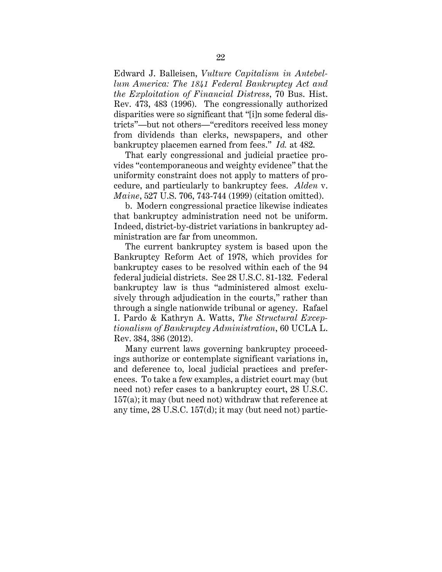Edward J. Balleisen, *Vulture Capitalism in Antebellum America: The 1841 Federal Bankruptcy Act and the Exploitation of Financial Distress*, 70 Bus. Hist. Rev. 473, 483 (1996). The congressionally authorized disparities were so significant that "[i]n some federal districts"—but not others—"creditors received less money from dividends than clerks, newspapers, and other bankruptcy placemen earned from fees." *Id.* at 482.

That early congressional and judicial practice provides "contemporaneous and weighty evidence" that the uniformity constraint does not apply to matters of procedure, and particularly to bankruptcy fees. *Alden* v. *Maine*, 527 U.S. 706, 743-744 (1999) (citation omitted).

b. Modern congressional practice likewise indicates that bankruptcy administration need not be uniform. Indeed, district-by-district variations in bankruptcy administration are far from uncommon.

The current bankruptcy system is based upon the Bankruptcy Reform Act of 1978, which provides for bankruptcy cases to be resolved within each of the 94 federal judicial districts. See 28 U.S.C. 81-132. Federal bankruptcy law is thus "administered almost exclusively through adjudication in the courts," rather than through a single nationwide tribunal or agency. Rafael I. Pardo & Kathryn A. Watts, *The Structural Exceptionalism of Bankruptcy Administration*, 60 UCLA L. Rev. 384, 386 (2012).

Many current laws governing bankruptcy proceedings authorize or contemplate significant variations in, and deference to, local judicial practices and preferences. To take a few examples, a district court may (but need not) refer cases to a bankruptcy court, 28 U.S.C. 157(a); it may (but need not) withdraw that reference at any time, 28 U.S.C. 157(d); it may (but need not) partic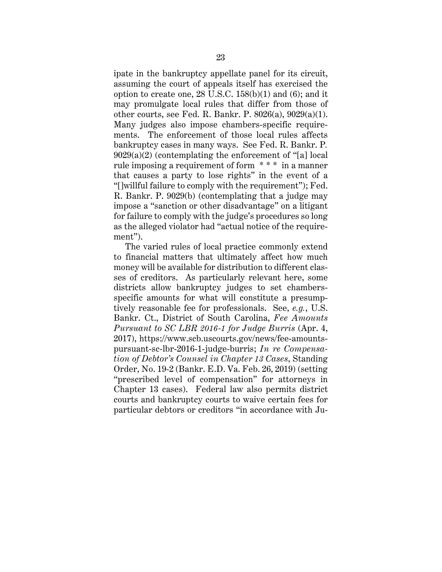ipate in the bankruptcy appellate panel for its circuit, assuming the court of appeals itself has exercised the option to create one,  $28 \text{ U.S.C. } 158(b)(1)$  and  $(6)$ ; and it may promulgate local rules that differ from those of other courts, see Fed. R. Bankr. P. 8026(a), 9029(a)(1). Many judges also impose chambers-specific requirements. The enforcement of those local rules affects bankruptcy cases in many ways. See Fed. R. Bankr. P*.*  $9029(a)(2)$  (contemplating the enforcement of "[a] local rule imposing a requirement of form \* \* \* in a manner that causes a party to lose rights" in the event of a "[]willful failure to comply with the requirement"); Fed. R. Bankr. P. 9029(b) (contemplating that a judge may impose a "sanction or other disadvantage" on a litigant for failure to comply with the judge's procedures so long as the alleged violator had "actual notice of the requirement").

The varied rules of local practice commonly extend to financial matters that ultimately affect how much money will be available for distribution to different classes of creditors. As particularly relevant here, some districts allow bankruptcy judges to set chambersspecific amounts for what will constitute a presumptively reasonable fee for professionals. See, *e.g.*, U.S. Bankr. Ct., District of South Carolina, *Fee Amounts Pursuant to SC LBR 2016-1 for Judge Burris* (Apr. 4, 2017), https://www.scb.uscourts.gov/news/fee-amountspursuant-sc-lbr-2016-1-judge-burris; *In re Compensation of Debtor's Counsel in Chapter 13 Cases*, Standing Order, No. 19-2 (Bankr. E.D. Va. Feb. 26, 2019) (setting "prescribed level of compensation" for attorneys in Chapter 13 cases). Federal law also permits district courts and bankruptcy courts to waive certain fees for particular debtors or creditors "in accordance with Ju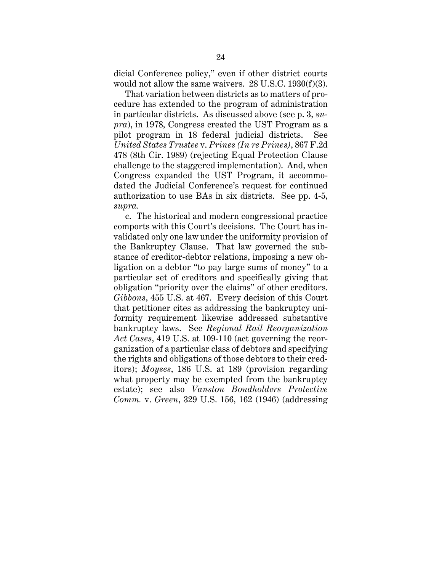dicial Conference policy," even if other district courts would not allow the same waivers. 28 U.S.C. 1930(f)(3).

That variation between districts as to matters of procedure has extended to the program of administration in particular districts. As discussed above (see p. 3, *supra*), in 1978, Congress created the UST Program as a pilot program in 18 federal judicial districts. See *United States Trustee* v. *Prines (In re Prines)*, 867 F.2d 478 (8th Cir. 1989) (rejecting Equal Protection Clause challenge to the staggered implementation). And, when Congress expanded the UST Program, it accommodated the Judicial Conference's request for continued authorization to use BAs in six districts. See pp. 4-5, *supra.*

c. The historical and modern congressional practice comports with this Court's decisions. The Court has invalidated only one law under the uniformity provision of the Bankruptcy Clause. That law governed the substance of creditor-debtor relations, imposing a new obligation on a debtor "to pay large sums of money" to a particular set of creditors and specifically giving that obligation "priority over the claims" of other creditors. *Gibbons*, 455 U.S. at 467. Every decision of this Court that petitioner cites as addressing the bankruptcy uniformity requirement likewise addressed substantive bankruptcy laws. See *Regional Rail Reorganization Act Cases*, 419 U.S. at 109-110 (act governing the reorganization of a particular class of debtors and specifying the rights and obligations of those debtors to their creditors); *Moyses*, 186 U.S. at 189 (provision regarding what property may be exempted from the bankruptcy estate); see also *Vanston Bondholders Protective Comm.* v. *Green*, 329 U.S. 156, 162 (1946) (addressing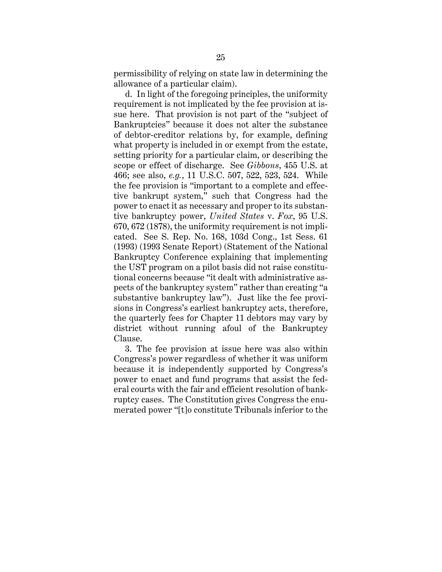permissibility of relying on state law in determining the allowance of a particular claim).

d. In light of the foregoing principles, the uniformity requirement is not implicated by the fee provision at issue here. That provision is not part of the "subject of Bankruptcies" because it does not alter the substance of debtor-creditor relations by, for example, defining what property is included in or exempt from the estate, setting priority for a particular claim, or describing the scope or effect of discharge. See *Gibbons*, 455 U.S. at 466; see also, *e.g.*, 11 U.S.C. 507, 522, 523, 524. While the fee provision is "important to a complete and effective bankrupt system," such that Congress had the power to enact it as necessary and proper to its substantive bankruptcy power, *United States* v. *Fox*, 95 U.S. 670, 672 (1878), the uniformity requirement is not implicated. See S. Rep. No. 168, 103d Cong., 1st Sess. 61 (1993) (1993 Senate Report) (Statement of the National Bankruptcy Conference explaining that implementing the UST program on a pilot basis did not raise constitutional concerns because "it dealt with administrative aspects of the bankruptcy system" rather than creating "a substantive bankruptcy law"). Just like the fee provisions in Congress's earliest bankruptcy acts, therefore, the quarterly fees for Chapter 11 debtors may vary by district without running afoul of the Bankruptcy Clause.

3. The fee provision at issue here was also within Congress's power regardless of whether it was uniform because it is independently supported by Congress's power to enact and fund programs that assist the federal courts with the fair and efficient resolution of bankruptcy cases. The Constitution gives Congress the enumerated power "[t]o constitute Tribunals inferior to the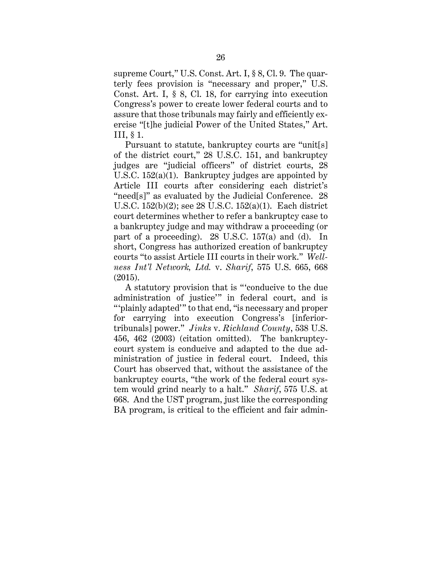supreme Court," U.S. Const. Art. I, § 8, Cl. 9. The quarterly fees provision is "necessary and proper," U.S. Const. Art. I, § 8, Cl. 18, for carrying into execution Congress's power to create lower federal courts and to assure that those tribunals may fairly and efficiently exercise "[t]he judicial Power of the United States," Art. III, § 1.

Pursuant to statute, bankruptcy courts are "unit[s] of the district court," 28 U.S.C. 151, and bankruptcy judges are "judicial officers" of district courts, 28 U.S.C. 152(a)(1). Bankruptcy judges are appointed by Article III courts after considering each district's "need[s]" as evaluated by the Judicial Conference. 28 U.S.C. 152(b)(2); see 28 U.S.C. 152(a)(1). Each district court determines whether to refer a bankruptcy case to a bankruptcy judge and may withdraw a proceeding (or part of a proceeding). 28 U.S.C. 157(a) and (d). In short, Congress has authorized creation of bankruptcy courts "to assist Article III courts in their work." *Wellness Int'l Network, Ltd.* v. *Sharif*, 575 U.S. 665, 668 (2015).

A statutory provision that is "'conducive to the due administration of justice'" in federal court, and is "'plainly adapted'" to that end, "is necessary and proper for carrying into execution Congress's [inferiortribunals] power." *Jinks* v. *Richland County*, 538 U.S. 456, 462 (2003) (citation omitted). The bankruptcycourt system is conducive and adapted to the due administration of justice in federal court. Indeed, this Court has observed that, without the assistance of the bankruptcy courts, "the work of the federal court system would grind nearly to a halt." *Sharif*, 575 U.S. at 668. And the UST program, just like the corresponding BA program, is critical to the efficient and fair admin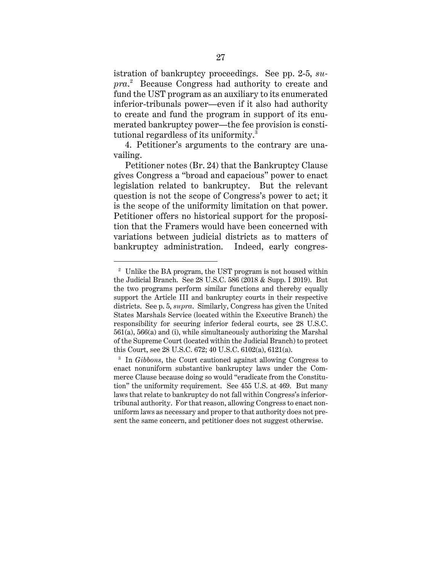istration of bankruptcy proceedings. See pp. 2-5, *supra*. 2 Because Congress had authority to create and fund the UST program as an auxiliary to its enumerated inferior-tribunals power—even if it also had authority to create and fund the program in support of its enumerated bankruptcy power—the fee provision is constitutional regardless of its uniformity.<sup>3</sup>

4. Petitioner's arguments to the contrary are unavailing.

Petitioner notes (Br. 24) that the Bankruptcy Clause gives Congress a "broad and capacious" power to enact legislation related to bankruptcy. But the relevant question is not the scope of Congress's power to act; it is the scope of the uniformity limitation on that power. Petitioner offers no historical support for the proposition that the Framers would have been concerned with variations between judicial districts as to matters of bankruptcy administration. Indeed, early congres-

<sup>2</sup> Unlike the BA program, the UST program is not housed within the Judicial Branch. See 28 U.S.C. 586 (2018 & Supp. I 2019). But the two programs perform similar functions and thereby equally support the Article III and bankruptcy courts in their respective districts. See p. 5, *supra*. Similarly, Congress has given the United States Marshals Service (located within the Executive Branch) the responsibility for securing inferior federal courts, see 28 U.S.C. 561(a), 566(a) and (i), while simultaneously authorizing the Marshal of the Supreme Court (located within the Judicial Branch) to protect this Court, see 28 U.S.C. 672; 40 U.S.C. 6102(a), 6121(a).

<sup>3</sup> In *Gibbons*, the Court cautioned against allowing Congress to enact nonuniform substantive bankruptcy laws under the Commerce Clause because doing so would "eradicate from the Constitution" the uniformity requirement. See 455 U.S. at 469. But many laws that relate to bankruptcy do not fall within Congress's inferiortribunal authority. For that reason, allowing Congress to enact nonuniform laws as necessary and proper to that authority does not present the same concern, and petitioner does not suggest otherwise.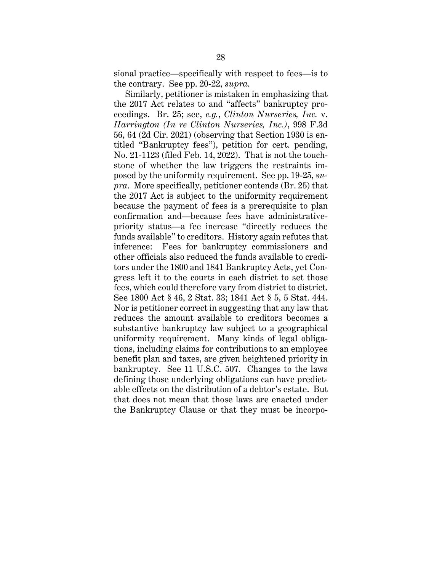sional practice—specifically with respect to fees—is to the contrary. See pp. 20-22, *supra*.

Similarly, petitioner is mistaken in emphasizing that the 2017 Act relates to and "affects" bankruptcy proceedings. Br. 25; see, *e.g.*, *Clinton Nurseries, Inc.* v. *Harrington (In re Clinton Nurseries, Inc.)*, 998 F.3d 56, 64 (2d Cir. 2021) (observing that Section 1930 is entitled "Bankruptcy fees"), petition for cert. pending, No. 21-1123 (filed Feb. 14, 2022). That is not the touchstone of whether the law triggers the restraints imposed by the uniformity requirement. See pp. 19-25, *supra*. More specifically, petitioner contends (Br. 25) that the 2017 Act is subject to the uniformity requirement because the payment of fees is a prerequisite to plan confirmation and—because fees have administrativepriority status—a fee increase "directly reduces the funds available" to creditors. History again refutes that inference: Fees for bankruptcy commissioners and other officials also reduced the funds available to creditors under the 1800 and 1841 Bankruptcy Acts, yet Congress left it to the courts in each district to set those fees, which could therefore vary from district to district. See 1800 Act § 46, 2 Stat. 33; 1841 Act § 5, 5 Stat. 444. Nor is petitioner correct in suggesting that any law that reduces the amount available to creditors becomes a substantive bankruptcy law subject to a geographical uniformity requirement. Many kinds of legal obligations, including claims for contributions to an employee benefit plan and taxes, are given heightened priority in bankruptcy. See 11 U.S.C. 507. Changes to the laws defining those underlying obligations can have predictable effects on the distribution of a debtor's estate. But that does not mean that those laws are enacted under the Bankruptcy Clause or that they must be incorpo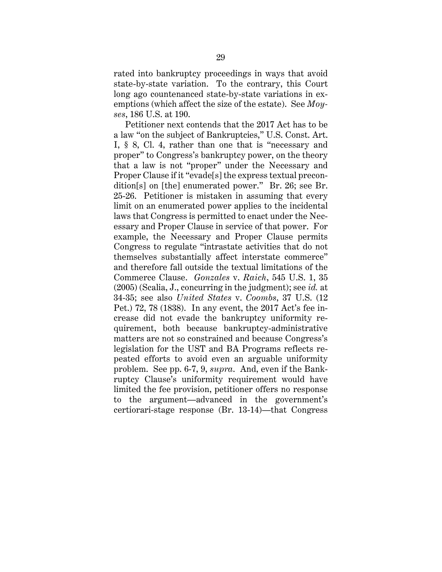rated into bankruptcy proceedings in ways that avoid state-by-state variation. To the contrary, this Court long ago countenanced state-by-state variations in exemptions (which affect the size of the estate). See *Moyses*, 186 U.S. at 190.

Petitioner next contends that the 2017 Act has to be a law "on the subject of Bankruptcies," U.S. Const. Art. I, § 8, Cl. 4, rather than one that is "necessary and proper" to Congress's bankruptcy power, on the theory that a law is not "proper" under the Necessary and Proper Clause if it "evade[s] the express textual precondition[s] on [the] enumerated power." Br. 26; see Br. 25-26. Petitioner is mistaken in assuming that every limit on an enumerated power applies to the incidental laws that Congress is permitted to enact under the Necessary and Proper Clause in service of that power. For example, the Necessary and Proper Clause permits Congress to regulate "intrastate activities that do not themselves substantially affect interstate commerce" and therefore fall outside the textual limitations of the Commerce Clause. *Gonzales* v. *Raich*, 545 U.S. 1, 35 (2005) (Scalia, J., concurring in the judgment); see *id.* at 34-35; see also *United States* v. *Coombs*, 37 U.S. (12 Pet.) 72, 78 (1838). In any event, the 2017 Act's fee increase did not evade the bankruptcy uniformity requirement, both because bankruptcy-administrative matters are not so constrained and because Congress's legislation for the UST and BA Programs reflects repeated efforts to avoid even an arguable uniformity problem. See pp. 6-7, 9, *supra*. And, even if the Bankruptcy Clause's uniformity requirement would have limited the fee provision, petitioner offers no response to the argument—advanced in the government's certiorari-stage response (Br. 13-14)—that Congress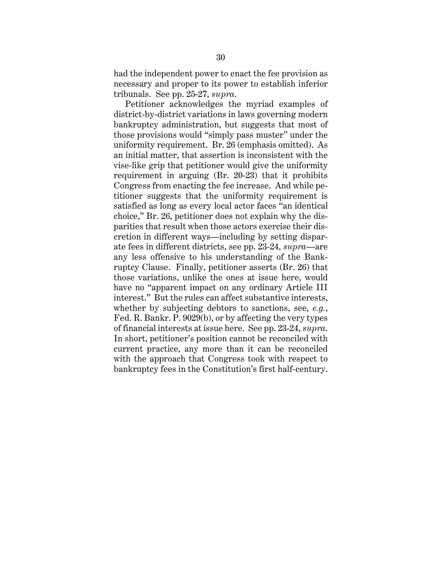had the independent power to enact the fee provision as necessary and proper to its power to establish inferior tribunals. See pp. 25-27, *supra*.

Petitioner acknowledges the myriad examples of district-by-district variations in laws governing modern bankruptcy administration, but suggests that most of those provisions would "simply pass muster" under the uniformity requirement. Br. 26 (emphasis omitted). As an initial matter, that assertion is inconsistent with the vise-like grip that petitioner would give the uniformity requirement in arguing (Br. 20-23) that it prohibits Congress from enacting the fee increase. And while petitioner suggests that the uniformity requirement is satisfied as long as every local actor faces "an identical choice," Br. 26, petitioner does not explain why the disparities that result when those actors exercise their discretion in different ways—including by setting disparate fees in different districts, see pp. 23-24, *supra*—are any less offensive to his understanding of the Bankruptcy Clause. Finally, petitioner asserts (Br. 26) that those variations, unlike the ones at issue here, would have no "apparent impact on any ordinary Article III interest." But the rules can affect substantive interests, whether by subjecting debtors to sanctions, see, *e.g.*, Fed. R. Bankr. P. 9029(b), or by affecting the very types of financial interests at issue here. See pp. 23-24, *supra*. In short, petitioner's position cannot be reconciled with current practice, any more than it can be reconciled with the approach that Congress took with respect to bankruptcy fees in the Constitution's first half-century.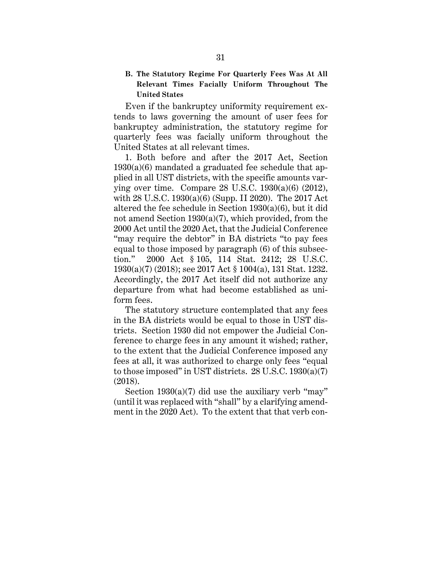## **B. The Statutory Regime For Quarterly Fees Was At All Relevant Times Facially Uniform Throughout The United States**

Even if the bankruptcy uniformity requirement extends to laws governing the amount of user fees for bankruptcy administration, the statutory regime for quarterly fees was facially uniform throughout the United States at all relevant times.

1. Both before and after the 2017 Act, Section  $1930(a)(6)$  mandated a graduated fee schedule that applied in all UST districts, with the specific amounts varying over time. Compare 28 U.S.C. 1930(a)(6) (2012), with 28 U.S.C. 1930(a)(6) (Supp. II 2020). The 2017 Act altered the fee schedule in Section 1930(a)(6), but it did not amend Section 1930(a)(7), which provided, from the 2000 Act until the 2020 Act, that the Judicial Conference "may require the debtor" in BA districts "to pay fees equal to those imposed by paragraph (6) of this subsection." 2000 Act § 105, 114 Stat. 2412; 28 U.S.C. 1930(a)(7) (2018); see 2017 Act § 1004(a), 131 Stat. 1232. Accordingly, the 2017 Act itself did not authorize any departure from what had become established as uniform fees.

The statutory structure contemplated that any fees in the BA districts would be equal to those in UST districts. Section 1930 did not empower the Judicial Conference to charge fees in any amount it wished; rather, to the extent that the Judicial Conference imposed any fees at all, it was authorized to charge only fees "equal to those imposed" in UST districts. 28 U.S.C. 1930(a)(7) (2018).

Section  $1930(a)(7)$  did use the auxiliary verb "may" (until it was replaced with "shall" by a clarifying amendment in the 2020 Act). To the extent that that verb con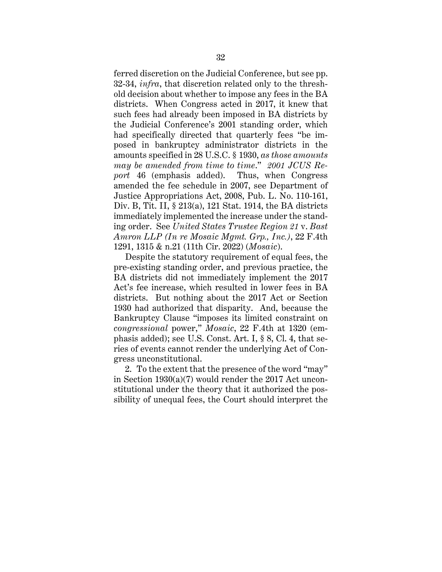ferred discretion on the Judicial Conference, but see pp. 32-34, *infra*, that discretion related only to the threshold decision about whether to impose any fees in the BA districts. When Congress acted in 2017, it knew that such fees had already been imposed in BA districts by the Judicial Conference's 2001 standing order, which had specifically directed that quarterly fees "be imposed in bankruptcy administrator districts in the amounts specified in 28 U.S.C. § 1930, *as those amounts may be amended from time to time*." *2001 JCUS Report* 46 (emphasis added). Thus, when Congress amended the fee schedule in 2007, see Department of Justice Appropriations Act, 2008, Pub. L. No. 110-161, Div. B, Tit. II, § 213(a), 121 Stat. 1914, the BA districts immediately implemented the increase under the standing order. See *United States Trustee Region 21* v. *Bast Amron LLP (In re Mosaic Mgmt. Grp., Inc.)*, 22 F.4th 1291, 1315 & n.21 (11th Cir. 2022) (*Mosaic*).

Despite the statutory requirement of equal fees, the pre-existing standing order, and previous practice, the BA districts did not immediately implement the 2017 Act's fee increase, which resulted in lower fees in BA districts. But nothing about the 2017 Act or Section 1930 had authorized that disparity. And, because the Bankruptcy Clause "imposes its limited constraint on *congressional* power," *Mosaic*, 22 F.4th at 1320 (emphasis added); see U.S. Const. Art. I, § 8, Cl. 4, that series of events cannot render the underlying Act of Congress unconstitutional.

2. To the extent that the presence of the word "may" in Section 1930(a)(7) would render the 2017 Act unconstitutional under the theory that it authorized the possibility of unequal fees, the Court should interpret the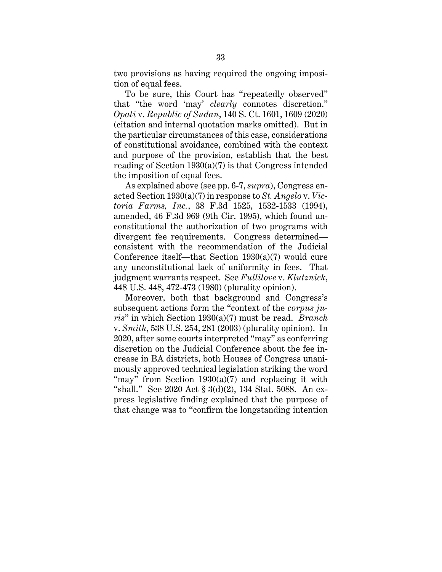two provisions as having required the ongoing imposition of equal fees.

To be sure, this Court has "repeatedly observed" that "the word 'may' *clearly* connotes discretion." *Opati* v. *Republic of Sudan*, 140 S. Ct. 1601, 1609 (2020) (citation and internal quotation marks omitted). But in the particular circumstances of this case, considerations of constitutional avoidance, combined with the context and purpose of the provision, establish that the best reading of Section 1930(a)(7) is that Congress intended the imposition of equal fees.

As explained above (see pp. 6-7, *supra*), Congress enacted Section 1930(a)(7) in response to *St. Angelo* v. *Victoria Farms, Inc.*, 38 F.3d 1525, 1532-1533 (1994), amended, 46 F.3d 969 (9th Cir. 1995), which found unconstitutional the authorization of two programs with divergent fee requirements. Congress determined consistent with the recommendation of the Judicial Conference itself—that Section 1930(a)(7) would cure any unconstitutional lack of uniformity in fees. That judgment warrants respect. See *Fullilove* v. *Klutznick*, 448 U.S. 448, 472-473 (1980) (plurality opinion).

Moreover, both that background and Congress's subsequent actions form the "context of the *corpus juris*" in which Section 1930(a)(7) must be read. *Branch* v. *Smith*, 538 U.S. 254, 281 (2003) (plurality opinion). In 2020, after some courts interpreted "may" as conferring discretion on the Judicial Conference about the fee increase in BA districts, both Houses of Congress unanimously approved technical legislation striking the word "may" from Section 1930(a)(7) and replacing it with "shall." See 2020 Act § 3(d)(2), 134 Stat. 5088. An express legislative finding explained that the purpose of that change was to "confirm the longstanding intention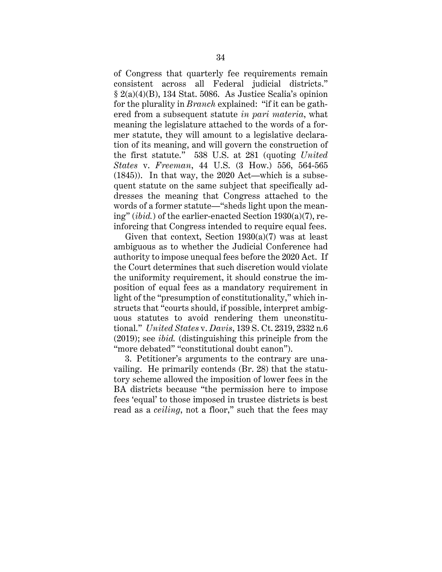of Congress that quarterly fee requirements remain consistent across all Federal judicial districts."  $\S 2(a)(4)(B)$ , 134 Stat. 5086. As Justice Scalia's opinion for the plurality in *Branch* explained: "if it can be gathered from a subsequent statute *in pari materia*, what meaning the legislature attached to the words of a former statute, they will amount to a legislative declaration of its meaning, and will govern the construction of the first statute." 538 U.S. at 281 (quoting *United States* v. *Freeman*, 44 U.S. (3 How.) 556, 564-565 (1845)). In that way, the 2020 Act—which is a subsequent statute on the same subject that specifically addresses the meaning that Congress attached to the words of a former statute—"sheds light upon the meaning" (*ibid.*) of the earlier-enacted Section 1930(a)(7), reinforcing that Congress intended to require equal fees.

Given that context, Section  $1930(a)(7)$  was at least ambiguous as to whether the Judicial Conference had authority to impose unequal fees before the 2020 Act. If the Court determines that such discretion would violate the uniformity requirement, it should construe the imposition of equal fees as a mandatory requirement in light of the "presumption of constitutionality," which instructs that "courts should, if possible, interpret ambiguous statutes to avoid rendering them unconstitutional." *United States* v. *Davis*, 139 S. Ct. 2319, 2332 n.6 (2019); see *ibid.* (distinguishing this principle from the "more debated" "constitutional doubt canon").

3. Petitioner's arguments to the contrary are unavailing. He primarily contends (Br. 28) that the statutory scheme allowed the imposition of lower fees in the BA districts because "the permission here to impose fees 'equal' to those imposed in trustee districts is best read as a *ceiling*, not a floor," such that the fees may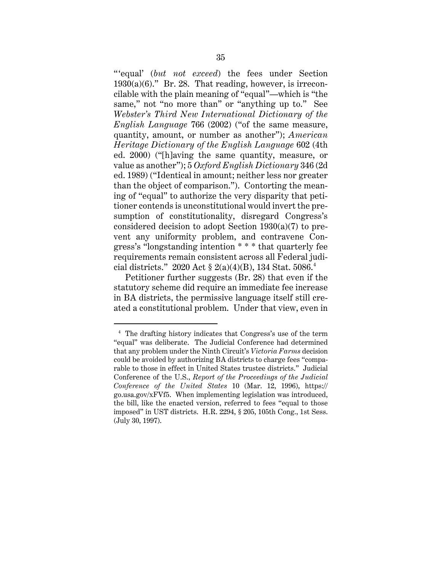" 'equal' (*but not exceed*) the fees under Section  $1930(a)(6)$ ." Br. 28. That reading, however, is irreconcilable with the plain meaning of "equal"—which is "the same," not "no more than" or "anything up to." See *Webster's Third New International Dictionary of the English Language* 766 (2002) ("of the same measure, quantity, amount, or number as another"); *American Heritage Dictionary of the English Language* 602 (4th ed. 2000) ("[h]aving the same quantity, measure, or value as another"); 5 *Oxford English Dictionary* 346 (2d ed. 1989) ("Identical in amount; neither less nor greater than the object of comparison."). Contorting the meaning of "equal" to authorize the very disparity that petitioner contends is unconstitutional would invert the presumption of constitutionality, disregard Congress's considered decision to adopt Section 1930(a)(7) to prevent any uniformity problem, and contravene Congress's "longstanding intention \* \* \* that quarterly fee requirements remain consistent across all Federal judicial districts." 2020 Act § 2(a)(4)(B), 134 Stat. 5086. 4

Petitioner further suggests (Br. 28) that even if the statutory scheme did require an immediate fee increase in BA districts, the permissive language itself still created a constitutional problem. Under that view, even in

<sup>4</sup> The drafting history indicates that Congress's use of the term "equal" was deliberate. The Judicial Conference had determined that any problem under the Ninth Circuit's *Victoria Farms* decision could be avoided by authorizing BA districts to charge fees "comparable to those in effect in United States trustee districts." Judicial Conference of the U.S., *Report of the Proceedings of the Judicial Conference of the United States* 10 (Mar. 12, 1996), https:// go.usa.gov/xFVf5. When implementing legislation was introduced, the bill, like the enacted version, referred to fees "equal to those imposed" in UST districts. H.R. 2294, § 205, 105th Cong., 1st Sess. (July 30, 1997).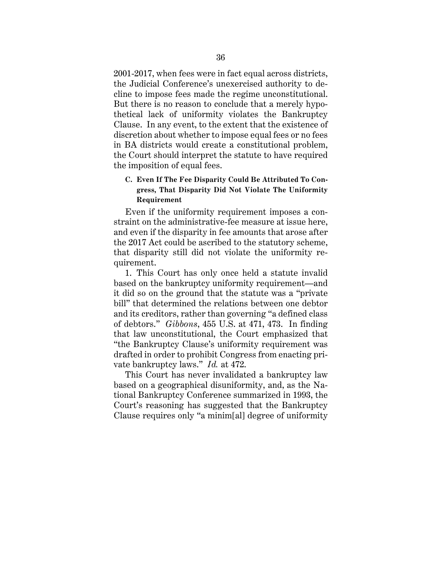2001-2017, when fees were in fact equal across districts, the Judicial Conference's unexercised authority to decline to impose fees made the regime unconstitutional. But there is no reason to conclude that a merely hypothetical lack of uniformity violates the Bankruptcy Clause. In any event, to the extent that the existence of discretion about whether to impose equal fees or no fees in BA districts would create a constitutional problem, the Court should interpret the statute to have required the imposition of equal fees.

# **C. Even If The Fee Disparity Could Be Attributed To Congress, That Disparity Did Not Violate The Uniformity Requirement**

Even if the uniformity requirement imposes a constraint on the administrative-fee measure at issue here, and even if the disparity in fee amounts that arose after the 2017 Act could be ascribed to the statutory scheme, that disparity still did not violate the uniformity requirement.

1. This Court has only once held a statute invalid based on the bankruptcy uniformity requirement—and it did so on the ground that the statute was a "private bill" that determined the relations between one debtor and its creditors, rather than governing "a defined class of debtors." *Gibbons*, 455 U.S. at 471, 473. In finding that law unconstitutional, the Court emphasized that "the Bankruptcy Clause's uniformity requirement was drafted in order to prohibit Congress from enacting private bankruptcy laws." *Id.* at 472.

This Court has never invalidated a bankruptcy law based on a geographical disuniformity, and, as the National Bankruptcy Conference summarized in 1993, the Court's reasoning has suggested that the Bankruptcy Clause requires only "a minim[al] degree of uniformity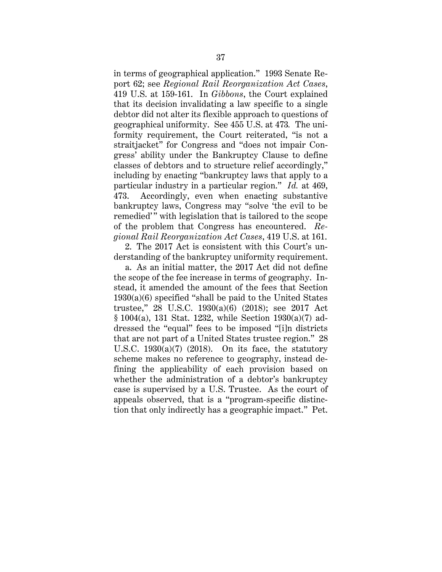in terms of geographical application." 1993 Senate Report 62; see *Regional Rail Reorganization Act Cases*, 419 U.S. at 159-161. In *Gibbons*, the Court explained that its decision invalidating a law specific to a single debtor did not alter its flexible approach to questions of geographical uniformity. See 455 U.S. at 473*.* The uniformity requirement, the Court reiterated, "is not a straitjacket" for Congress and "does not impair Congress' ability under the Bankruptcy Clause to define classes of debtors and to structure relief accordingly," including by enacting "bankruptcy laws that apply to a particular industry in a particular region." *Id.* at 469, 473. Accordingly, even when enacting substantive bankruptcy laws, Congress may "solve 'the evil to be remedied'" with legislation that is tailored to the scope of the problem that Congress has encountered. *Regional Rail Reorganization Act Cases*, 419 U.S. at 161.

2. The 2017 Act is consistent with this Court's understanding of the bankruptcy uniformity requirement.

a. As an initial matter, the 2017 Act did not define the scope of the fee increase in terms of geography. Instead, it amended the amount of the fees that Section 1930(a)(6) specified "shall be paid to the United States trustee," 28 U.S.C. 1930(a)(6) (2018); see 2017 Act § 1004(a), 131 Stat. 1232, while Section 1930(a)(7) addressed the "equal" fees to be imposed "[i]n districts that are not part of a United States trustee region." 28 U.S.C.  $1930(a)(7)$  (2018). On its face, the statutory scheme makes no reference to geography, instead defining the applicability of each provision based on whether the administration of a debtor's bankruptcy case is supervised by a U.S. Trustee. As the court of appeals observed, that is a "program-specific distinction that only indirectly has a geographic impact." Pet.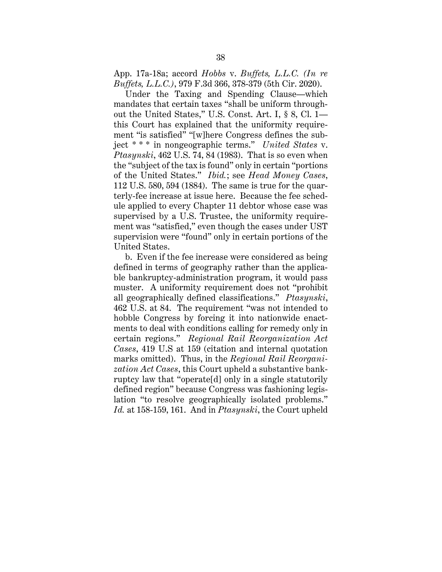App. 17a-18a; accord *Hobbs* v. *Buffets, L.L.C. (In re Buffets, L.L.C.)*, 979 F.3d 366, 378-379 (5th Cir. 2020).

Under the Taxing and Spending Clause—which mandates that certain taxes "shall be uniform throughout the United States," U.S. Const. Art. I, § 8, Cl. 1 this Court has explained that the uniformity requirement "is satisfied" "[w]here Congress defines the subject \* \* \* in nongeographic terms." *United States* v. *Ptasynski*, 462 U.S. 74, 84 (1983). That is so even when the "subject of the tax is found" only in certain "portions of the United States." *Ibid.*; see *Head Money Cases*, 112 U.S. 580, 594 (1884). The same is true for the quarterly-fee increase at issue here. Because the fee schedule applied to every Chapter 11 debtor whose case was supervised by a U.S. Trustee, the uniformity requirement was "satisfied," even though the cases under UST supervision were "found" only in certain portions of the United States.

b. Even if the fee increase were considered as being defined in terms of geography rather than the applicable bankruptcy-administration program, it would pass muster. A uniformity requirement does not "prohibit all geographically defined classifications." *Ptasynski*, 462 U.S. at 84. The requirement "was not intended to hobble Congress by forcing it into nationwide enactments to deal with conditions calling for remedy only in certain regions." *Regional Rail Reorganization Act Cases*, 419 U.S at 159 (citation and internal quotation marks omitted). Thus, in the *Regional Rail Reorganization Act Cases*, this Court upheld a substantive bankruptcy law that "operate[d] only in a single statutorily defined region" because Congress was fashioning legislation "to resolve geographically isolated problems." *Id.* at 158-159, 161. And in *Ptasynski*, the Court upheld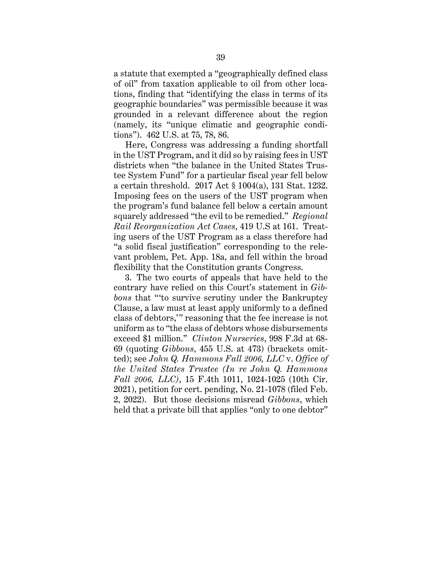a statute that exempted a "geographically defined class of oil" from taxation applicable to oil from other locations, finding that "identifying the class in terms of its geographic boundaries" was permissible because it was grounded in a relevant difference about the region (namely, its "unique climatic and geographic conditions"). 462 U.S. at 75, 78, 86.

Here, Congress was addressing a funding shortfall in the UST Program, and it did so by raising fees in UST districts when "the balance in the United States Trustee System Fund" for a particular fiscal year fell below a certain threshold. 2017 Act § 1004(a), 131 Stat. 1232. Imposing fees on the users of the UST program when the program's fund balance fell below a certain amount squarely addressed "the evil to be remedied." *Regional Rail Reorganization Act Cases*, 419 U.S at 161. Treating users of the UST Program as a class therefore had "a solid fiscal justification" corresponding to the relevant problem, Pet. App. 18a, and fell within the broad flexibility that the Constitution grants Congress.

3. The two courts of appeals that have held to the contrary have relied on this Court's statement in *Gibbons* that "'to survive scrutiny under the Bankruptcy Clause, a law must at least apply uniformly to a defined class of debtors,'" reasoning that the fee increase is not uniform as to "the class of debtors whose disbursements exceed \$1 million." *Clinton Nurseries*, 998 F.3d at 68- 69 (quoting *Gibbons*, 455 U.S. at 473) (brackets omitted); see *John Q. Hammons Fall 2006, LLC* v. *Office of the United States Trustee (In re John Q. Hammons Fall 2006, LLC)*, 15 F.4th 1011, 1024-1025 (10th Cir. 2021), petition for cert. pending, No. 21-1078 (filed Feb. 2, 2022). But those decisions misread *Gibbons*, which held that a private bill that applies "only to one debtor"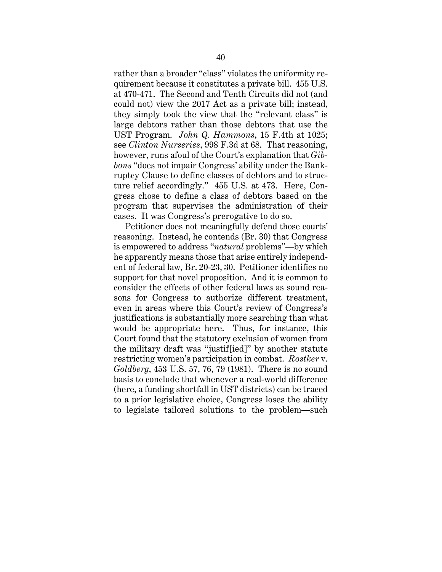rather than a broader "class" violates the uniformity requirement because it constitutes a private bill. 455 U.S. at 470-471. The Second and Tenth Circuits did not (and could not) view the 2017 Act as a private bill; instead, they simply took the view that the "relevant class" is large debtors rather than those debtors that use the UST Program. *John Q. Hammons*, 15 F.4th at 1025; see *Clinton Nurseries*, 998 F.3d at 68. That reasoning, however, runs afoul of the Court's explanation that *Gibbons* "does not impair Congress' ability under the Bankruptcy Clause to define classes of debtors and to structure relief accordingly." 455 U.S. at 473. Here, Congress chose to define a class of debtors based on the program that supervises the administration of their cases. It was Congress's prerogative to do so.

Petitioner does not meaningfully defend those courts' reasoning. Instead, he contends (Br. 30) that Congress is empowered to address "*natural* problems"—by which he apparently means those that arise entirely independent of federal law, Br. 20-23, 30. Petitioner identifies no support for that novel proposition. And it is common to consider the effects of other federal laws as sound reasons for Congress to authorize different treatment, even in areas where this Court's review of Congress's justifications is substantially more searching than what would be appropriate here. Thus, for instance, this Court found that the statutory exclusion of women from the military draft was "justif[ied]" by another statute restricting women's participation in combat. *Rostker* v. *Goldberg*, 453 U.S. 57, 76, 79 (1981). There is no sound basis to conclude that whenever a real-world difference (here, a funding shortfall in UST districts) can be traced to a prior legislative choice, Congress loses the ability to legislate tailored solutions to the problem—such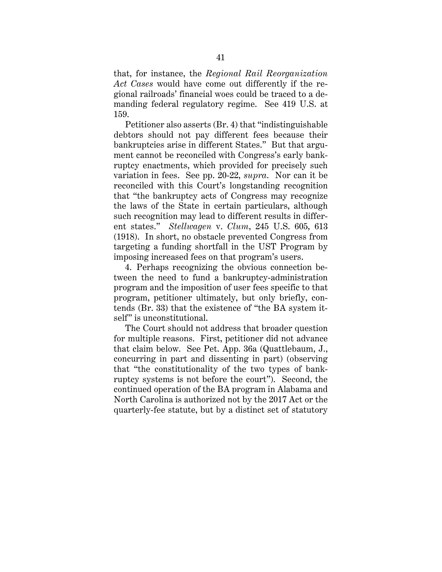that, for instance, the *Regional Rail Reorganization Act Cases* would have come out differently if the regional railroads' financial woes could be traced to a demanding federal regulatory regime. See 419 U.S. at 159.

Petitioner also asserts (Br. 4) that "indistinguishable debtors should not pay different fees because their bankruptcies arise in different States." But that argument cannot be reconciled with Congress's early bankruptcy enactments, which provided for precisely such variation in fees. See pp. 20-22, *supra*. Nor can it be reconciled with this Court's longstanding recognition that "the bankruptcy acts of Congress may recognize the laws of the State in certain particulars, although such recognition may lead to different results in different states." *Stellwagen* v. *Clum*, 245 U.S. 605, 613 (1918). In short, no obstacle prevented Congress from targeting a funding shortfall in the UST Program by imposing increased fees on that program's users.

4. Perhaps recognizing the obvious connection between the need to fund a bankruptcy-administration program and the imposition of user fees specific to that program, petitioner ultimately, but only briefly, contends (Br. 33) that the existence of "the BA system itself" is unconstitutional.

The Court should not address that broader question for multiple reasons. First, petitioner did not advance that claim below. See Pet. App. 36a (Quattlebaum, J., concurring in part and dissenting in part) (observing that "the constitutionality of the two types of bankruptcy systems is not before the court"). Second, the continued operation of the BA program in Alabama and North Carolina is authorized not by the 2017 Act or the quarterly-fee statute, but by a distinct set of statutory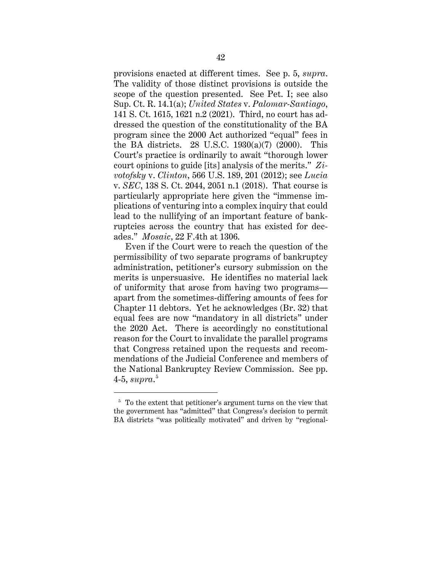provisions enacted at different times. See p. 5, *supra*. The validity of those distinct provisions is outside the scope of the question presented. See Pet. I; see also Sup. Ct. R. 14.1(a); *United States* v. *Palomar-Santiago*, 141 S. Ct. 1615, 1621 n.2 (2021). Third, no court has addressed the question of the constitutionality of the BA program since the 2000 Act authorized "equal" fees in the BA districts. 28 U.S.C.  $1930(a)(7)$  (2000). This Court's practice is ordinarily to await "thorough lower court opinions to guide [its] analysis of the merits." *Zivotofsky* v. *Clinton*, 566 U.S. 189, 201 (2012); see *Lucia* v. *SEC*, 138 S. Ct. 2044, 2051 n.1 (2018). That course is particularly appropriate here given the "immense implications of venturing into a complex inquiry that could lead to the nullifying of an important feature of bankruptcies across the country that has existed for decades." *Mosaic*, 22 F.4th at 1306.

Even if the Court were to reach the question of the permissibility of two separate programs of bankruptcy administration, petitioner's cursory submission on the merits is unpersuasive. He identifies no material lack of uniformity that arose from having two programs apart from the sometimes-differing amounts of fees for Chapter 11 debtors. Yet he acknowledges (Br. 32) that equal fees are now "mandatory in all districts" under the 2020 Act. There is accordingly no constitutional reason for the Court to invalidate the parallel programs that Congress retained upon the requests and recommendations of the Judicial Conference and members of the National Bankruptcy Review Commission. See pp. 4-5, *supra*. 5

<sup>&</sup>lt;sup>5</sup> To the extent that petitioner's argument turns on the view that the government has "admitted" that Congress's decision to permit BA districts "was politically motivated" and driven by "regional-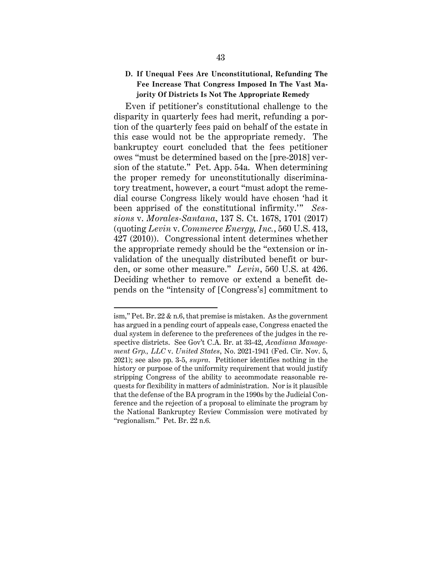### **D. If Unequal Fees Are Unconstitutional, Refunding The Fee Increase That Congress Imposed In The Vast Majority Of Districts Is Not The Appropriate Remedy**

Even if petitioner's constitutional challenge to the disparity in quarterly fees had merit, refunding a portion of the quarterly fees paid on behalf of the estate in this case would not be the appropriate remedy. The bankruptcy court concluded that the fees petitioner owes "must be determined based on the [pre-2018] version of the statute." Pet. App. 54a. When determining the proper remedy for unconstitutionally discriminatory treatment, however, a court "must adopt the remedial course Congress likely would have chosen 'had it been apprised of the constitutional infirmity.'" *Sessions* v. *Morales-Santana*, 137 S. Ct. 1678, 1701 (2017) (quoting *Levin* v. *Commerce Energy, Inc.*, 560 U.S. 413, 427 (2010)). Congressional intent determines whether the appropriate remedy should be the "extension or invalidation of the unequally distributed benefit or burden, or some other measure." *Levin*, 560 U.S. at 426. Deciding whether to remove or extend a benefit depends on the "intensity of [Congress's] commitment to

ism," Pet. Br. 22 & n.6, that premise is mistaken. As the government has argued in a pending court of appeals case, Congress enacted the dual system in deference to the preferences of the judges in the respective districts. See Gov't C.A. Br. at 33-42, *Acadiana Management Grp., LLC* v. *United States*, No. 2021-1941 (Fed. Cir. Nov. 5, 2021); see also pp. 3-5, *supra*. Petitioner identifies nothing in the history or purpose of the uniformity requirement that would justify stripping Congress of the ability to accommodate reasonable requests for flexibility in matters of administration. Nor is it plausible that the defense of the BA program in the 1990s by the Judicial Conference and the rejection of a proposal to eliminate the program by the National Bankruptcy Review Commission were motivated by "regionalism." Pet. Br. 22 n.6.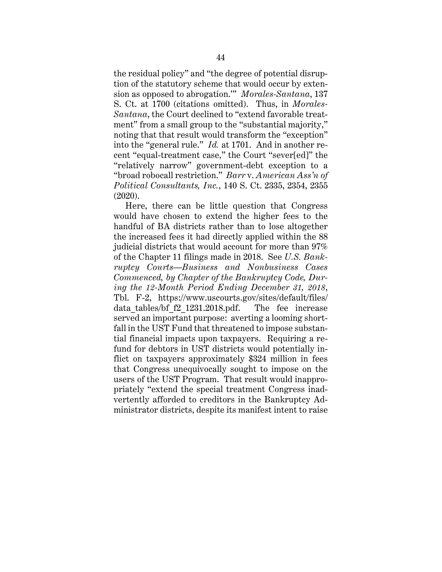the residual policy" and "the degree of potential disruption of the statutory scheme that would occur by extension as opposed to abrogation.'" *Morales-Santana*, 137 S. Ct. at 1700 (citations omitted). Thus, in *Morales-Santana*, the Court declined to "extend favorable treatment" from a small group to the "substantial majority," noting that that result would transform the "exception" into the "general rule." *Id.* at 1701. And in another recent "equal-treatment case," the Court "sever[ed]" the "relatively narrow" government-debt exception to a "broad robocall restriction." *Barr* v. *American Ass'n of Political Consultants, Inc.*, 140 S. Ct. 2335, 2354, 2355 (2020).

Here, there can be little question that Congress would have chosen to extend the higher fees to the handful of BA districts rather than to lose altogether the increased fees it had directly applied within the 88 judicial districts that would account for more than 97% of the Chapter 11 filings made in 2018. See *U.S. Bankruptcy Courts—Business and Nonbusiness Cases Commenced, by Chapter of the Bankruptcy Code, During the 12-Month Period Ending December 31, 2018*, Tbl. F-2, https://www.uscourts.gov/sites/default/files/ data tables/bf f2 1231.2018.pdf. The fee increase served an important purpose: averting a looming shortfall in the UST Fund that threatened to impose substantial financial impacts upon taxpayers. Requiring a refund for debtors in UST districts would potentially inflict on taxpayers approximately \$324 million in fees that Congress unequivocally sought to impose on the users of the UST Program. That result would inappropriately "extend the special treatment Congress inadvertently afforded to creditors in the Bankruptcy Administrator districts, despite its manifest intent to raise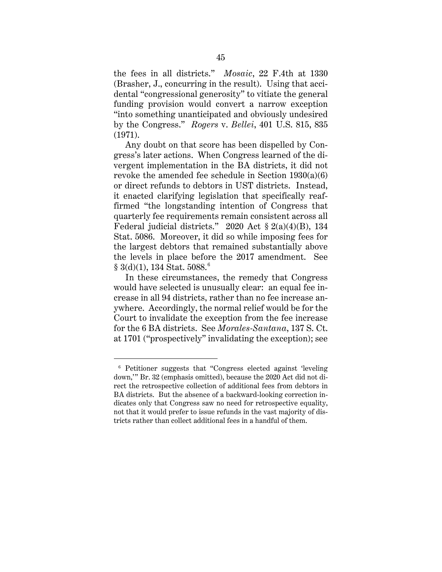the fees in all districts." *Mosaic*, 22 F.4th at 1330 (Brasher, J., concurring in the result). Using that accidental "congressional generosity" to vitiate the general funding provision would convert a narrow exception "into something unanticipated and obviously undesired by the Congress." *Rogers* v. *Bellei*, 401 U.S. 815, 835 (1971).

Any doubt on that score has been dispelled by Congress's later actions. When Congress learned of the divergent implementation in the BA districts, it did not revoke the amended fee schedule in Section  $1930(a)(6)$ or direct refunds to debtors in UST districts. Instead, it enacted clarifying legislation that specifically reaffirmed "the longstanding intention of Congress that quarterly fee requirements remain consistent across all Federal judicial districts." 2020 Act  $\S 2(a)(4)(B)$ , 134 Stat. 5086. Moreover, it did so while imposing fees for the largest debtors that remained substantially above the levels in place before the 2017 amendment. See  $§ 3(d)(1), 134 Stat. 5088.$ <sup>6</sup>

In these circumstances, the remedy that Congress would have selected is unusually clear: an equal fee increase in all 94 districts, rather than no fee increase anywhere. Accordingly, the normal relief would be for the Court to invalidate the exception from the fee increase for the 6 BA districts. See *Morales-Santana*, 137 S. Ct. at 1701 ("prospectively" invalidating the exception); see

<sup>6</sup> Petitioner suggests that "Congress elected against 'leveling down,'" Br. 32 (emphasis omitted), because the 2020 Act did not direct the retrospective collection of additional fees from debtors in BA districts. But the absence of a backward-looking correction indicates only that Congress saw no need for retrospective equality, not that it would prefer to issue refunds in the vast majority of districts rather than collect additional fees in a handful of them.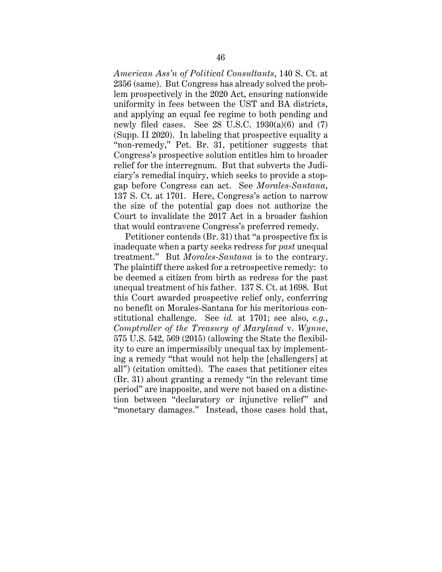*American Ass'n of Political Consultants*, 140 S. Ct. at 2356 (same). But Congress has already solved the problem prospectively in the 2020 Act, ensuring nationwide uniformity in fees between the UST and BA districts, and applying an equal fee regime to both pending and newly filed cases. See  $28 \text{ U.S.C. } 1930(a)(6)$  and  $(7)$ (Supp. II 2020). In labeling that prospective equality a "non-remedy," Pet. Br. 31, petitioner suggests that Congress's prospective solution entitles him to broader relief for the interregnum. But that subverts the Judiciary's remedial inquiry, which seeks to provide a stopgap before Congress can act. See *Morales-Santana*, 137 S. Ct. at 1701. Here, Congress's action to narrow the size of the potential gap does not authorize the Court to invalidate the 2017 Act in a broader fashion that would contravene Congress's preferred remedy.

Petitioner contends (Br. 31) that "a prospective fix is inadequate when a party seeks redress for *past* unequal treatment." But *Morales-Santana* is to the contrary. The plaintiff there asked for a retrospective remedy: to be deemed a citizen from birth as redress for the past unequal treatment of his father. 137 S. Ct. at 1698. But this Court awarded prospective relief only, conferring no benefit on Morales-Santana for his meritorious constitutional challenge. See *id.* at 1701; see also, *e.g.*, *Comptroller of the Treasury of Maryland* v. *Wynne*, 575 U.S. 542, 569 (2015) (allowing the State the flexibility to cure an impermissibly unequal tax by implementing a remedy "that would not help the [challengers] at all") (citation omitted). The cases that petitioner cites (Br. 31) about granting a remedy "in the relevant time period" are inapposite, and were not based on a distinction between "declaratory or injunctive relief" and "monetary damages." Instead, those cases hold that,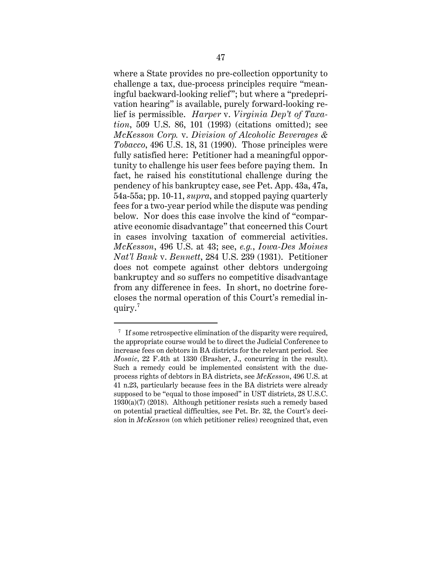where a State provides no pre-collection opportunity to challenge a tax, due-process principles require "meaningful backward-looking relief"; but where a "predeprivation hearing" is available, purely forward-looking relief is permissible. *Harper* v. *Virginia Dep't of Taxation*, 509 U.S. 86, 101 (1993) (citations omitted); see *McKesson Corp.* v. *Division of Alcoholic Beverages & Tobacco*, 496 U.S. 18, 31 (1990). Those principles were fully satisfied here: Petitioner had a meaningful opportunity to challenge his user fees before paying them. In fact, he raised his constitutional challenge during the pendency of his bankruptcy case, see Pet. App. 43a, 47a, 54a-55a; pp. 10-11, *supra*, and stopped paying quarterly fees for a two-year period while the dispute was pending below. Nor does this case involve the kind of "comparative economic disadvantage" that concerned this Court in cases involving taxation of commercial activities. *McKesson*, 496 U.S. at 43; see, *e.g.*, *Iowa-Des Moines Nat'l Bank* v. *Bennett*, 284 U.S. 239 (1931). Petitioner does not compete against other debtors undergoing bankruptcy and so suffers no competitive disadvantage from any difference in fees. In short, no doctrine forecloses the normal operation of this Court's remedial inquiry.<sup>7</sup>

<sup>&</sup>lt;sup>7</sup> If some retrospective elimination of the disparity were required, the appropriate course would be to direct the Judicial Conference to increase fees on debtors in BA districts for the relevant period. See *Mosaic*, 22 F.4th at 1330 (Brasher, J., concurring in the result). Such a remedy could be implemented consistent with the dueprocess rights of debtors in BA districts, see *McKesson*, 496 U.S. at 41 n.23, particularly because fees in the BA districts were already supposed to be "equal to those imposed" in UST districts, 28 U.S.C. 1930(a)(7) (2018). Although petitioner resists such a remedy based on potential practical difficulties, see Pet. Br. 32, the Court's decision in *McKesson* (on which petitioner relies) recognized that, even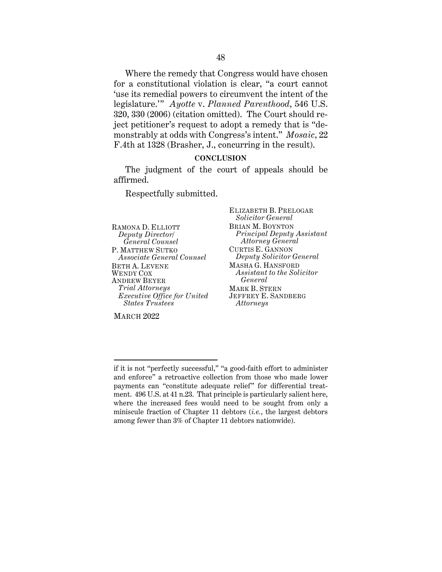Where the remedy that Congress would have chosen for a constitutional violation is clear, "a court cannot 'use its remedial powers to circumvent the intent of the legislature.'" *Ayotte* v. *Planned Parenthood*, 546 U.S. 320, 330 (2006) (citation omitted). The Court should reject petitioner's request to adopt a remedy that is "demonstrably at odds with Congress's intent." *Mosaic*, 22 F.4th at 1328 (Brasher, J., concurring in the result).

#### **CONCLUSION**

The judgment of the court of appeals should be affirmed.

Respectfully submitted.

RAMONA D. ELLIOTT *Deputy Director/ General Counsel* P. MATTHEW SUTKO *Associate General Counsel* BETH A. LEVENE WENDY COX ANDREW BEYER *Trial Attorneys Executive Office for United States Trustees*

ELIZABETH B. PRELOGAR *Solicitor General* BRIAN M. BOYNTON *Principal Deputy Assistant Attorney General* CURTIS E. GANNON *Deputy Solicitor General* MASHA G. HANSFORD *Assistant to the Solicitor General*  MARK B. STERN JEFFREY E. SANDBERG *Attorneys*

MARCH 2022

if it is not "perfectly successful," "a good-faith effort to administer and enforce" a retroactive collection from those who made lower payments can "constitute adequate relief" for differential treatment. 496 U.S. at 41 n.23. That principle is particularly salient here, where the increased fees would need to be sought from only a miniscule fraction of Chapter 11 debtors (*i.e.*, the largest debtors among fewer than 3% of Chapter 11 debtors nationwide).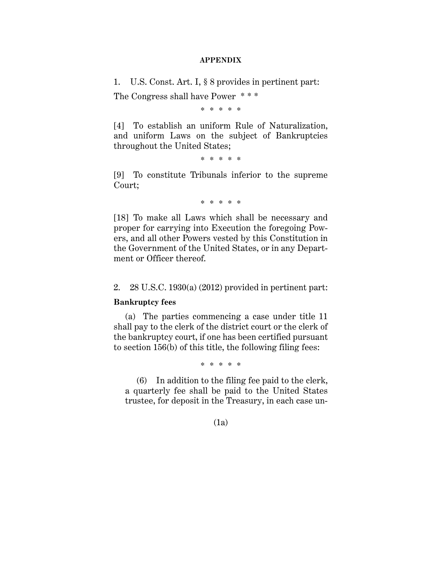#### **APPENDIX**

1. U.S. Const. Art. I, § 8 provides in pertinent part:

The Congress shall have Power \* \* \*

\* \* \* \* \*

[4] To establish an uniform Rule of Naturalization, and uniform Laws on the subject of Bankruptcies throughout the United States;

\* \* \* \* \*

[9] To constitute Tribunals inferior to the supreme Court;

\* \* \* \* \*

[18] To make all Laws which shall be necessary and proper for carrying into Execution the foregoing Powers, and all other Powers vested by this Constitution in the Government of the United States, or in any Department or Officer thereof.

2. 28 U.S.C. 1930(a) (2012) provided in pertinent part:

### **Bankruptcy fees**

(a) The parties commencing a case under title 11 shall pay to the clerk of the district court or the clerk of the bankruptcy court, if one has been certified pursuant to section 156(b) of this title, the following filing fees:

\* \* \* \* \*

(6) In addition to the filing fee paid to the clerk, a quarterly fee shall be paid to the United States trustee, for deposit in the Treasury, in each case un-

(1a)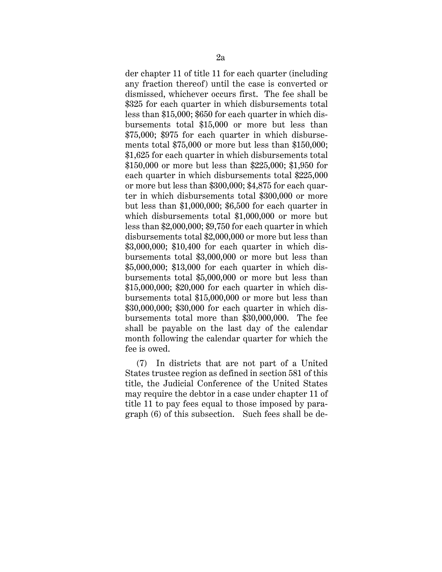der chapter 11 of title 11 for each quarter (including any fraction thereof) until the case is converted or dismissed, whichever occurs first. The fee shall be \$325 for each quarter in which disbursements total less than \$15,000; \$650 for each quarter in which disbursements total \$15,000 or more but less than \$75,000; \$975 for each quarter in which disbursements total \$75,000 or more but less than \$150,000; \$1,625 for each quarter in which disbursements total \$150,000 or more but less than \$225,000; \$1,950 for each quarter in which disbursements total \$225,000 or more but less than \$300,000; \$4,875 for each quarter in which disbursements total \$300,000 or more but less than \$1,000,000; \$6,500 for each quarter in which disbursements total \$1,000,000 or more but less than \$2,000,000; \$9,750 for each quarter in which disbursements total \$2,000,000 or more but less than \$3,000,000; \$10,400 for each quarter in which disbursements total \$3,000,000 or more but less than \$5,000,000; \$13,000 for each quarter in which disbursements total \$5,000,000 or more but less than \$15,000,000; \$20,000 for each quarter in which disbursements total \$15,000,000 or more but less than \$30,000,000; \$30,000 for each quarter in which disbursements total more than \$30,000,000. The fee shall be payable on the last day of the calendar month following the calendar quarter for which the fee is owed.

(7) In districts that are not part of a United States trustee region as defined in section 581 of this title, the Judicial Conference of the United States may require the debtor in a case under chapter 11 of title 11 to pay fees equal to those imposed by paragraph (6) of this subsection. Such fees shall be de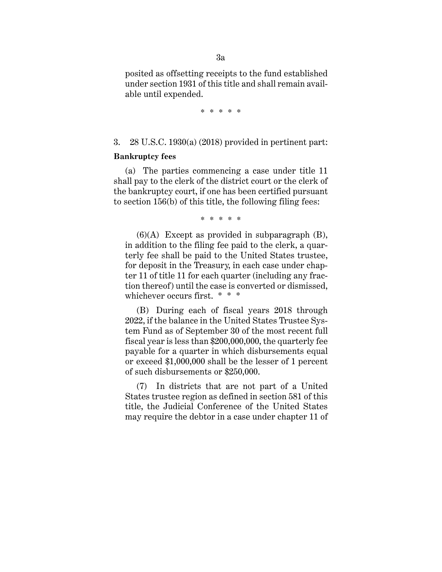posited as offsetting receipts to the fund established under section 1931 of this title and shall remain available until expended.

\* \* \* \* \*

3. 28 U.S.C. 1930(a) (2018) provided in pertinent part:

#### **Bankruptcy fees**

(a) The parties commencing a case under title 11 shall pay to the clerk of the district court or the clerk of the bankruptcy court, if one has been certified pursuant to section 156(b) of this title, the following filing fees:

\* \* \* \* \*

 $(6)(A)$  Except as provided in subparagraph  $(B)$ , in addition to the filing fee paid to the clerk, a quarterly fee shall be paid to the United States trustee, for deposit in the Treasury, in each case under chapter 11 of title 11 for each quarter (including any fraction thereof) until the case is converted or dismissed, whichever occurs first. \* \* \*

(B) During each of fiscal years 2018 through 2022, if the balance in the United States Trustee System Fund as of September 30 of the most recent full fiscal year is less than \$200,000,000, the quarterly fee payable for a quarter in which disbursements equal or exceed \$1,000,000 shall be the lesser of 1 percent of such disbursements or \$250,000.

(7) In districts that are not part of a United States trustee region as defined in section 581 of this title, the Judicial Conference of the United States may require the debtor in a case under chapter 11 of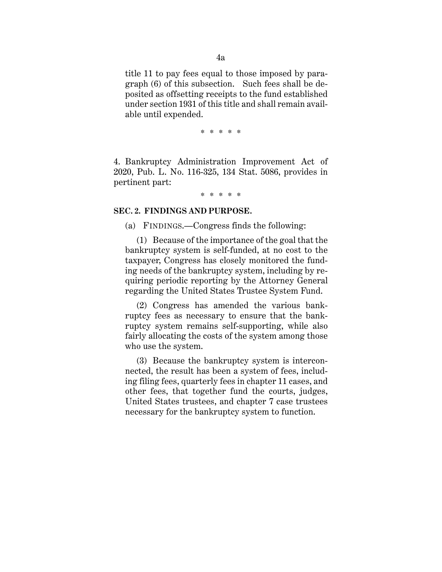title 11 to pay fees equal to those imposed by paragraph (6) of this subsection. Such fees shall be deposited as offsetting receipts to the fund established under section 1931 of this title and shall remain available until expended.

\* \* \* \* \*

4. Bankruptcy Administration Improvement Act of 2020, Pub. L. No. 116-325, 134 Stat. 5086, provides in pertinent part:

\* \* \* \* \*

#### **SEC. 2. FINDINGS AND PURPOSE.**

(a) FINDINGS.—Congress finds the following:

(1) Because of the importance of the goal that the bankruptcy system is self-funded, at no cost to the taxpayer, Congress has closely monitored the funding needs of the bankruptcy system, including by requiring periodic reporting by the Attorney General regarding the United States Trustee System Fund.

(2) Congress has amended the various bankruptcy fees as necessary to ensure that the bankruptcy system remains self-supporting, while also fairly allocating the costs of the system among those who use the system.

(3) Because the bankruptcy system is interconnected, the result has been a system of fees, including filing fees, quarterly fees in chapter 11 cases, and other fees, that together fund the courts, judges, United States trustees, and chapter 7 case trustees necessary for the bankruptcy system to function.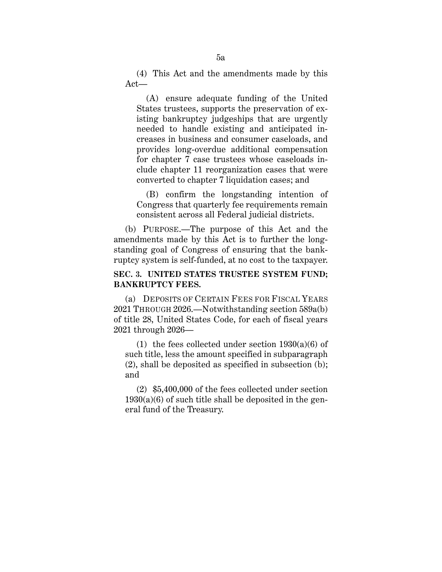(4) This Act and the amendments made by this Act—

 (A) ensure adequate funding of the United States trustees, supports the preservation of existing bankruptcy judgeships that are urgently needed to handle existing and anticipated increases in business and consumer caseloads, and provides long-overdue additional compensation for chapter 7 case trustees whose caseloads include chapter 11 reorganization cases that were converted to chapter 7 liquidation cases; and

 (B) confirm the longstanding intention of Congress that quarterly fee requirements remain consistent across all Federal judicial districts.

(b) PURPOSE.—The purpose of this Act and the amendments made by this Act is to further the longstanding goal of Congress of ensuring that the bankruptcy system is self-funded, at no cost to the taxpayer.

# **SEC. 3. UNITED STATES TRUSTEE SYSTEM FUND; BANKRUPTCY FEES.**

(a) DEPOSITS OF CERTAIN FEES FOR FISCAL YEARS 2021 THROUGH 2026.—Notwithstanding section 589a(b) of title 28, United States Code, for each of fiscal years 2021 through 2026—

(1) the fees collected under section  $1930(a)(6)$  of such title, less the amount specified in subparagraph (2), shall be deposited as specified in subsection (b); and

(2) \$5,400,000 of the fees collected under section  $1930(a)(6)$  of such title shall be deposited in the general fund of the Treasury.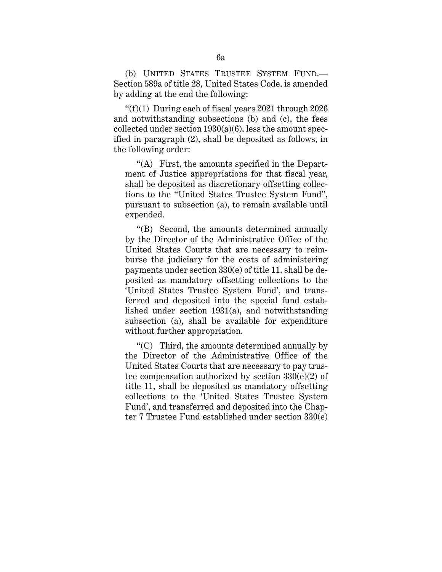(b) UNITED STATES TRUSTEE SYSTEM FUND.— Section 589a of title 28, United States Code, is amended by adding at the end the following:

" $(f)(1)$  During each of fiscal years 2021 through 2026 and notwithstanding subsections (b) and (c), the fees collected under section  $1930(a)(6)$ , less the amount specified in paragraph (2), shall be deposited as follows, in the following order:

 "(A) First, the amounts specified in the Department of Justice appropriations for that fiscal year, shall be deposited as discretionary offsetting collections to the "United States Trustee System Fund", pursuant to subsection (a), to remain available until expended.

 "(B) Second, the amounts determined annually by the Director of the Administrative Office of the United States Courts that are necessary to reimburse the judiciary for the costs of administering payments under section 330(e) of title 11, shall be deposited as mandatory offsetting collections to the 'United States Trustee System Fund', and transferred and deposited into the special fund established under section 1931(a), and notwithstanding subsection (a), shall be available for expenditure without further appropriation.

 "(C) Third, the amounts determined annually by the Director of the Administrative Office of the United States Courts that are necessary to pay trustee compensation authorized by section 330(e)(2) of title 11, shall be deposited as mandatory offsetting collections to the 'United States Trustee System Fund', and transferred and deposited into the Chapter 7 Trustee Fund established under section 330(e)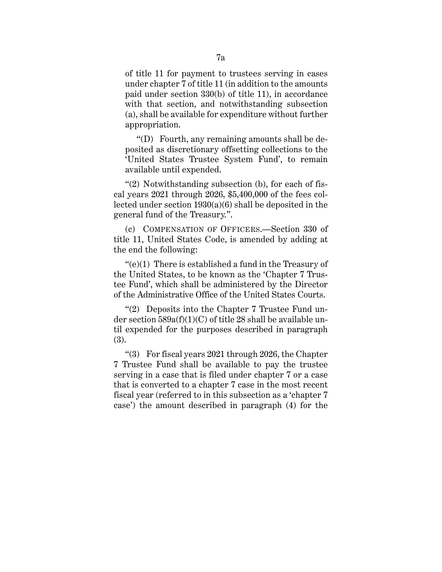of title 11 for payment to trustees serving in cases under chapter 7 of title 11 (in addition to the amounts paid under section 330(b) of title 11), in accordance with that section, and notwithstanding subsection (a), shall be available for expenditure without further appropriation.

 "(D) Fourth, any remaining amounts shall be deposited as discretionary offsetting collections to the 'United States Trustee System Fund', to remain available until expended.

" $(2)$  Notwithstanding subsection (b), for each of fiscal years 2021 through 2026, \$5,400,000 of the fees collected under section 1930(a)(6) shall be deposited in the general fund of the Treasury.".

(c) COMPENSATION OF OFFICERS.—Section 330 of title 11, United States Code, is amended by adding at the end the following:

"(e)(1) There is established a fund in the Treasury of the United States, to be known as the 'Chapter 7 Trustee Fund', which shall be administered by the Director of the Administrative Office of the United States Courts.

"(2) Deposits into the Chapter 7 Trustee Fund under section  $589a(f)(1)(C)$  of title 28 shall be available until expended for the purposes described in paragraph (3).

"(3) For fiscal years 2021 through 2026, the Chapter 7 Trustee Fund shall be available to pay the trustee serving in a case that is filed under chapter 7 or a case that is converted to a chapter 7 case in the most recent fiscal year (referred to in this subsection as a 'chapter 7 case') the amount described in paragraph (4) for the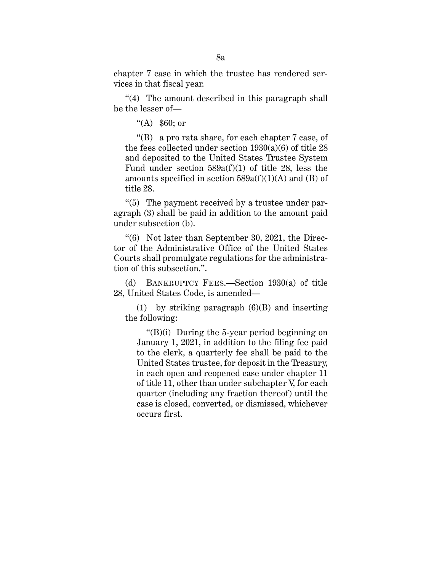chapter 7 case in which the trustee has rendered services in that fiscal year.

"(4) The amount described in this paragraph shall be the lesser of—

"(A) \$60; or

 "(B) a pro rata share, for each chapter 7 case, of the fees collected under section  $1930(a)(6)$  of title 28 and deposited to the United States Trustee System Fund under section  $589a(f)(1)$  of title 28, less the amounts specified in section  $589a(f)(1)(A)$  and (B) of title 28.

"(5) The payment received by a trustee under paragraph (3) shall be paid in addition to the amount paid under subsection (b).

"(6) Not later than September 30, 2021, the Director of the Administrative Office of the United States Courts shall promulgate regulations for the administration of this subsection.".

(d) BANKRUPTCY FEES.—Section 1930(a) of title 28, United States Code, is amended—

(1) by striking paragraph (6)(B) and inserting the following:

 "(B)(i) During the 5-year period beginning on January 1, 2021, in addition to the filing fee paid to the clerk, a quarterly fee shall be paid to the United States trustee, for deposit in the Treasury, in each open and reopened case under chapter 11 of title 11, other than under subchapter V, for each quarter (including any fraction thereof) until the case is closed, converted, or dismissed, whichever occurs first.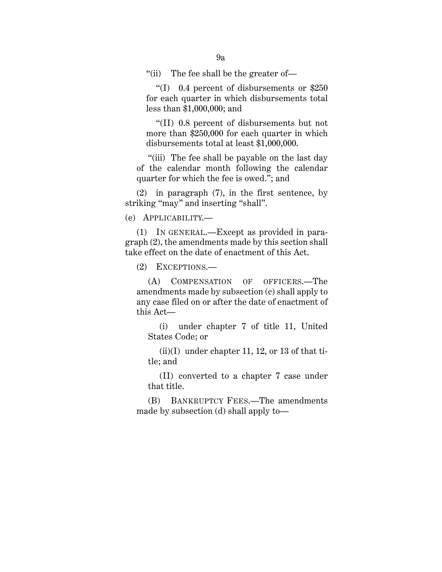"(ii) The fee shall be the greater of—

 "(I) 0.4 percent of disbursements or \$250 for each quarter in which disbursements total less than \$1,000,000; and

 "(II) 0.8 percent of disbursements but not more than \$250,000 for each quarter in which disbursements total at least \$1,000,000.

 "(iii) The fee shall be payable on the last day of the calendar month following the calendar quarter for which the fee is owed."; and

(2) in paragraph (7), in the first sentence, by striking "may" and inserting "shall".

(e) APPLICABILITY.—

(1) IN GENERAL.—Except as provided in paragraph (2), the amendments made by this section shall take effect on the date of enactment of this Act.

(2) EXCEPTIONS.—

 (A) COMPENSATION OF OFFICERS.—The amendments made by subsection (c) shall apply to any case filed on or after the date of enactment of this Act—

(i) under chapter 7 of title 11, United States Code; or

 $(ii)(I)$  under chapter 11, 12, or 13 of that title; and

(II) converted to a chapter 7 case under that title.

(B) BANKRUPTCY FEES.—The amendments made by subsection (d) shall apply to—